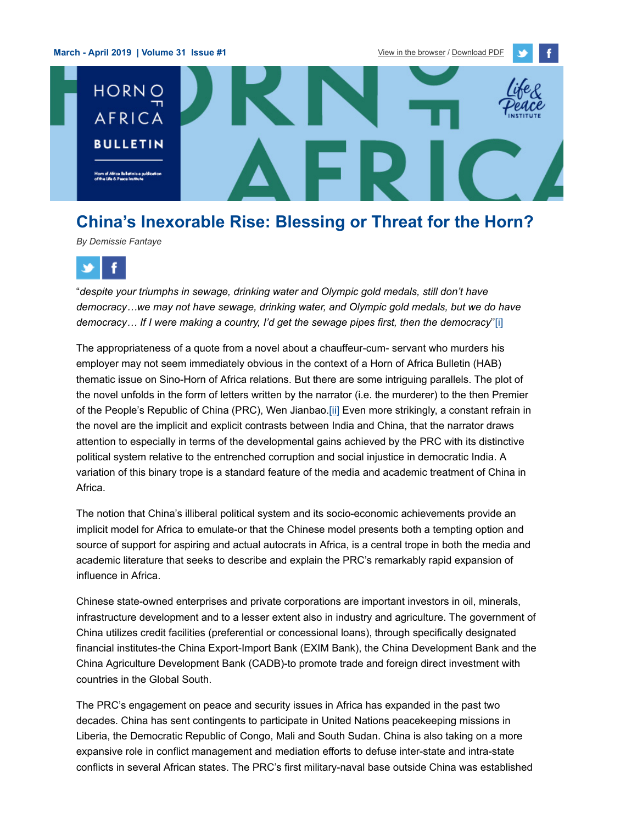**March - April 2019 | Volume 31 Issue #1** [View in the browser](http://life-peace.org/horn-of-africa-bulletin/) / [Download PDF](http://life-peace.org/wp-content/uploads/Horn-of-Africa-Bulletin-march-april-2019.pdf)





# **China's Inexorable Rise: Blessing or Threat for the Horn?**

*By Demissie Fantaye*



"*despite your triumphs in sewage, drinking water and Olympic gold medals, still don't have democracy…we may not have sewage, drinking water, and Olympic gold medals, but we do have democracy… If I were making a country, I'd get the sewage pipes first, then the democracy*'['\[i\]](http://img.mailchimp.com/404-%5C%22#_edn1%5C%22)

The appropriateness of a quote from a novel about a chauffeur-cum- servant who murders his employer may not seem immediately obvious in the context of a Horn of Africa Bulletin (HAB) thematic issue on Sino-Horn of Africa relations. But there are some intriguing parallels. The plot of the novel unfolds in the form of letters written by the narrator (i.e. the murderer) to the then Premier of the People's Republic of China (PRC), Wen Jianbao.[\[ii\]](http://img.mailchimp.com/404-%5C%22#_edn2%5C%22) Even more strikingly, a constant refrain in the novel are the implicit and explicit contrasts between India and China, that the narrator draws attention to especially in terms of the developmental gains achieved by the PRC with its distinctive political system relative to the entrenched corruption and social injustice in democratic India. A variation of this binary trope is a standard feature of the media and academic treatment of China in Africa.

The notion that China's illiberal political system and its socio-economic achievements provide an implicit model for Africa to emulate-or that the Chinese model presents both a tempting option and source of support for aspiring and actual autocrats in Africa, is a central trope in both the media and academic literature that seeks to describe and explain the PRC's remarkably rapid expansion of influence in Africa.

Chinese state-owned enterprises and private corporations are important investors in oil, minerals, infrastructure development and to a lesser extent also in industry and agriculture. The government of China utilizes credit facilities (preferential or concessional loans), through specifically designated financial institutes-the China Export-Import Bank (EXIM Bank), the China Development Bank and the China Agriculture Development Bank (CADB)-to promote trade and foreign direct investment with countries in the Global South.

The PRC's engagement on peace and security issues in Africa has expanded in the past two decades. China has sent contingents to participate in United Nations peacekeeping missions in Liberia, the Democratic Republic of Congo, Mali and South Sudan. China is also taking on a more expansive role in conflict management and mediation efforts to defuse inter-state and intra-state conflicts in several African states. The PRC's first military-naval base outside China was established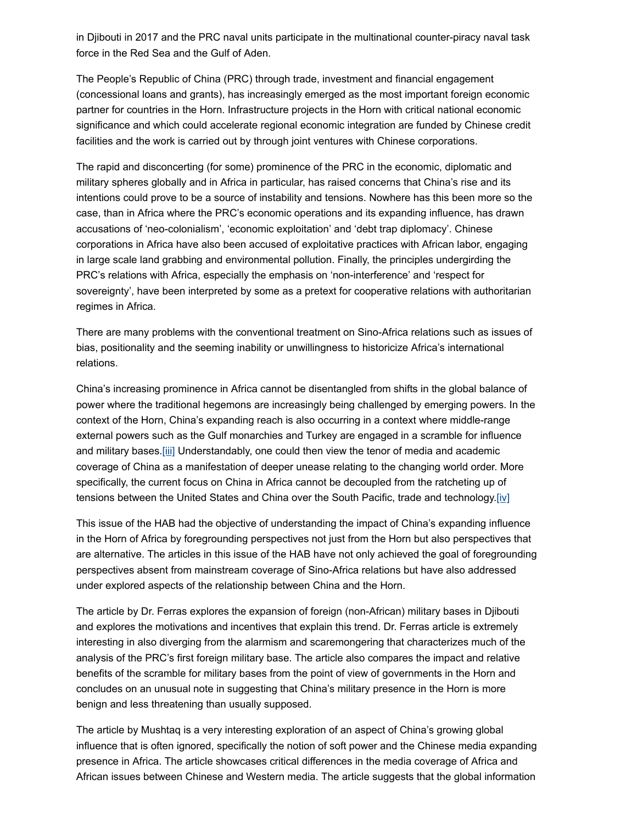in Djibouti in 2017 and the PRC naval units participate in the multinational counter-piracy naval task force in the Red Sea and the Gulf of Aden.

The People's Republic of China (PRC) through trade, investment and financial engagement (concessional loans and grants), has increasingly emerged as the most important foreign economic partner for countries in the Horn. Infrastructure projects in the Horn with critical national economic significance and which could accelerate regional economic integration are funded by Chinese credit facilities and the work is carried out by through joint ventures with Chinese corporations.

The rapid and disconcerting (for some) prominence of the PRC in the economic, diplomatic and military spheres globally and in Africa in particular, has raised concerns that China's rise and its intentions could prove to be a source of instability and tensions. Nowhere has this been more so the case, than in Africa where the PRC's economic operations and its expanding influence, has drawn accusations of 'neo-colonialism', 'economic exploitation' and 'debt trap diplomacy'. Chinese corporations in Africa have also been accused of exploitative practices with African labor, engaging in large scale land grabbing and environmental pollution. Finally, the principles undergirding the PRC's relations with Africa, especially the emphasis on 'non-interference' and 'respect for sovereignty', have been interpreted by some as a pretext for cooperative relations with authoritarian regimes in Africa.

There are many problems with the conventional treatment on Sino-Africa relations such as issues of bias, positionality and the seeming inability or unwillingness to historicize Africa's international relations.

China's increasing prominence in Africa cannot be disentangled from shifts in the global balance of power where the traditional hegemons are increasingly being challenged by emerging powers. In the context of the Horn, China's expanding reach is also occurring in a context where middle-range external powers such as the Gulf monarchies and Turkey are engaged in a scramble for influence and military bases[.\[iii\]](http://img.mailchimp.com/404-%5C%22#_edn3%5C%22) Understandably, one could then view the tenor of media and academic coverage of China as a manifestation of deeper unease relating to the changing world order. More specifically, the current focus on China in Africa cannot be decoupled from the ratcheting up of tensions between the United States and China over the South Pacific, trade and technology.[\[iv\]](http://img.mailchimp.com/404-%5C%22#_edn4%5C%22)

This issue of the HAB had the objective of understanding the impact of China's expanding influence in the Horn of Africa by foregrounding perspectives not just from the Horn but also perspectives that are alternative. The articles in this issue of the HAB have not only achieved the goal of foregrounding perspectives absent from mainstream coverage of Sino-Africa relations but have also addressed under explored aspects of the relationship between China and the Horn.

The article by Dr. Ferras explores the expansion of foreign (non-African) military bases in Djibouti and explores the motivations and incentives that explain this trend. Dr. Ferras article is extremely interesting in also diverging from the alarmism and scaremongering that characterizes much of the analysis of the PRC's first foreign military base. The article also compares the impact and relative benefits of the scramble for military bases from the point of view of governments in the Horn and concludes on an unusual note in suggesting that China's military presence in the Horn is more benign and less threatening than usually supposed.

The article by Mushtaq is a very interesting exploration of an aspect of China's growing global influence that is often ignored, specifically the notion of soft power and the Chinese media expanding presence in Africa. The article showcases critical differences in the media coverage of Africa and African issues between Chinese and Western media. The article suggests that the global information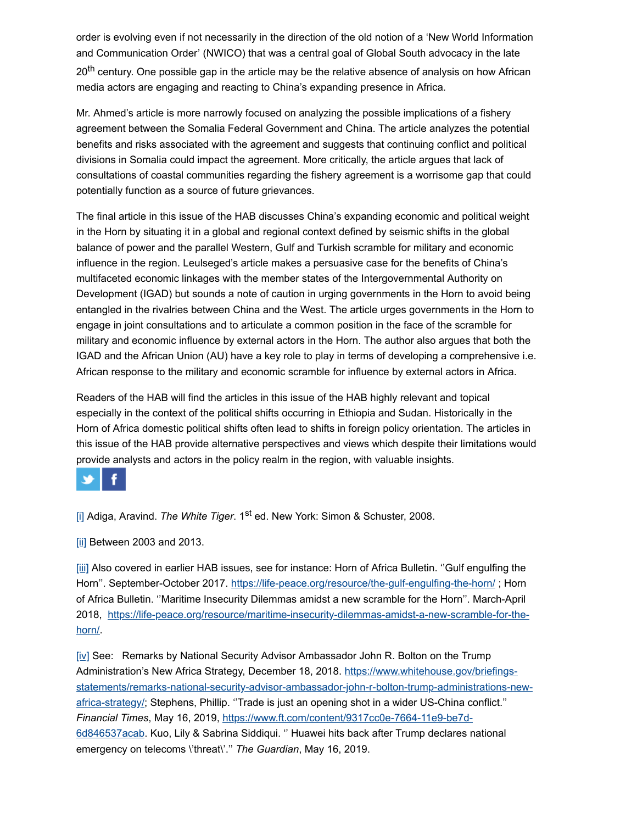order is evolving even if not necessarily in the direction of the old notion of a 'New World Information and Communication Order' (NWICO) that was a central goal of Global South advocacy in the late 20<sup>th</sup> century. One possible gap in the article may be the relative absence of analysis on how African media actors are engaging and reacting to China's expanding presence in Africa.

Mr. Ahmed's article is more narrowly focused on analyzing the possible implications of a fishery agreement between the Somalia Federal Government and China. The article analyzes the potential benefits and risks associated with the agreement and suggests that continuing conflict and political divisions in Somalia could impact the agreement. More critically, the article argues that lack of consultations of coastal communities regarding the fishery agreement is a worrisome gap that could potentially function as a source of future grievances.

The final article in this issue of the HAB discusses China's expanding economic and political weight in the Horn by situating it in a global and regional context defined by seismic shifts in the global balance of power and the parallel Western, Gulf and Turkish scramble for military and economic influence in the region. Leulseged's article makes a persuasive case for the benefits of China's multifaceted economic linkages with the member states of the Intergovernmental Authority on Development (IGAD) but sounds a note of caution in urging governments in the Horn to avoid being entangled in the rivalries between China and the West. The article urges governments in the Horn to engage in joint consultations and to articulate a common position in the face of the scramble for military and economic influence by external actors in the Horn. The author also argues that both the IGAD and the African Union (AU) have a key role to play in terms of developing a comprehensive i.e. African response to the military and economic scramble for influence by external actors in Africa.

Readers of the HAB will find the articles in this issue of the HAB highly relevant and topical especially in the context of the political shifts occurring in Ethiopia and Sudan. Historically in the Horn of Africa domestic political shifts often lead to shifts in foreign policy orientation. The articles in this issue of the HAB provide alternative perspectives and views which despite their limitations would provide analysts and actors in the policy realm in the region, with valuable insights.



[\[i\]](http://img.mailchimp.com/404-%5C%22#_ednref1%5C%22) Adiga, Aravind. The White Tiger. 1<sup>st</sup> ed. New York: Simon & Schuster, 2008.

[\[ii\]](http://img.mailchimp.com/404-%5C%22#_ednref2%5C%22) Between 2003 and 2013.

[\[iii\]](http://img.mailchimp.com/404-%5C%22#_ednref3%5C%22) Also covered in earlier HAB issues, see for instance: Horn of Africa Bulletin. ''Gulf engulfing the Horn". September-October 2017. [https://life-peace.org/resource/the-gulf-engulfing-the-horn/](http://img.mailchimp.com/404-%5C%22); Horn of Africa Bulletin. ''Maritime Insecurity Dilemmas amidst a new scramble for the Horn''. March-April [2018, https://life-peace.org/resource/maritime-insecurity-dilemmas-amidst-a-new-scramble-for-the](http://img.mailchimp.com/404-%5C%22)horn/.

[\[iv\]](http://img.mailchimp.com/404-%5C%22#_ednref4%5C%22) See: Remarks by National Security Advisor Ambassador John R. Bolton on the Trump Administration's New Africa Strategy, December 18, 2018. https://www.whitehouse.gov/briefings[statements/remarks-national-security-advisor-ambassador-john-r-bolton-trump-administrations-new](http://img.mailchimp.com/404-%5C%22)africa-strategy/; Stephens, Phillip. "Trade is just an opening shot in a wider US-China conflict." *Financial Times*, May 16, 2019, https://www.ft.com/content/9317cc0e-7664-11e9-be7d-[6d846537acab. Kuo, Lily & Sabrina Siddiqui. '' Huawei hits back after Trump declares n](http://img.mailchimp.com/404-9317cc0e-7664-11e9-be7d-6d846537acab%5C%22)ational emergency on telecoms \'threat\'.'' *The Guardian*, May 16, 2019.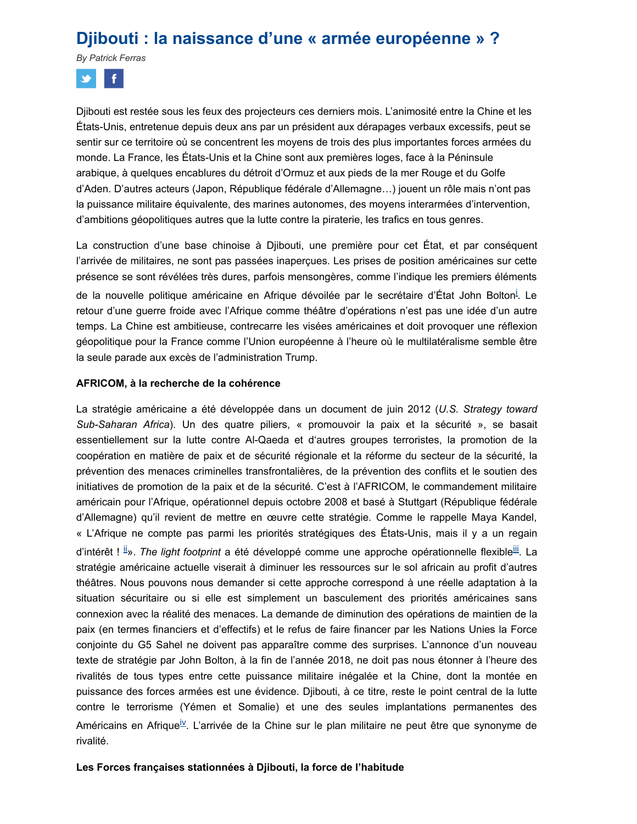## **Djibouti : la naissance d'une « armée européenne » ?**

*By Patrick Ferras*



Djibouti est restée sous les feux des projecteurs ces derniers mois. L'animosité entre la Chine et les États-Unis, entretenue depuis deux ans par un président aux dérapages verbaux excessifs, peut se sentir sur ce territoire où se concentrent les moyens de trois des plus importantes forces armées du monde. La France, les États-Unis et la Chine sont aux premières loges, face à la Péninsule arabique, à quelques encablures du détroit d'Ormuz et aux pieds de la mer Rouge et du Golfe d'Aden. D'autres acteurs (Japon, République fédérale d'Allemagne…) jouent un rôle mais n'ont pas la puissance militaire équivalente, des marines autonomes, des moyens interarmées d'intervention, d'ambitions géopolitiques autres que la lutte contre la piraterie, les trafics en tous genres.

La construction d'une base chinoise à Djibouti, une première pour cet État, et par conséquent l'arrivée de militaires, ne sont pas passées inaperçues. Les prises de position américaines sur cette présence se sont révélées très dures, parfois mensongères, comme l'indique les premiers éléments de la nouvelle pol[i](http://life-peace.org/hab/djibouti-la-naissance-dune-armee-europeenne/#sdendnote1sym)tique américaine en Afrique dévoilée par le secrétaire d'État John Bolton<sup>i</sup>. Le retour d'une guerre froide avec l'Afrique comme théâtre d'opérations n'est pas une idée d'un autre temps. La Chine est ambitieuse, contrecarre les visées américaines et doit provoquer une réflexion géopolitique pour la France comme l'Union européenne à l'heure où le multilatéralisme semble être la seule parade aux excès de l'administration Trump.

#### **AFRICOM, à la recherche de la cohérence**

La stratégie américaine a été développée dans un document de juin 2012 (*U.S. Strategy toward Sub-Saharan Africa*). Un des quatre piliers, « promouvoir la paix et la sécurité », se basait essentiellement sur la lutte contre Al-Qaeda et d'autres groupes terroristes, la promotion de la coopération en matière de paix et de sécurité régionale et la réforme du secteur de la sécurité, la prévention des menaces criminelles transfrontalières, de la prévention des conflits et le soutien des initiatives de promotion de la paix et de la sécurité. C'est à l'AFRICOM, le commandement militaire américain pour l'Afrique, opérationnel depuis octobre 2008 et basé à Stuttgart (République fédérale d'Allemagne) qu'il revient de mettre en œuvre cette stratégie. Comme le rappelle Maya Kandel, « L'Afrique ne compte pas parmi les priorités stratégiques des États-Unis, mais il y a un regain d'intérêt!<sup>[ii](http://life-peace.org/hab/djibouti-la-naissance-dune-armee-europeenne/#sdendnote2sym)</sup>». *The light footprint* a été développé comme une approche opérationnelle flexible<sup>[iii](http://life-peace.org/hab/djibouti-la-naissance-dune-armee-europeenne/#sdendnote3sym)</sup>. La stratégie américaine actuelle viserait à diminuer les ressources sur le sol africain au profit d'autres théâtres. Nous pouvons nous demander si cette approche correspond à une réelle adaptation à la situation sécuritaire ou si elle est simplement un basculement des priorités américaines sans connexion avec la réalité des menaces. La demande de diminution des opérations de maintien de la paix (en termes financiers et d'effectifs) et le refus de faire financer par les Nations Unies la Force conjointe du G5 Sahel ne doivent pas apparaître comme des surprises. L'annonce d'un nouveau texte de stratégie par John Bolton, à la fin de l'année 2018, ne doit pas nous étonner à l'heure des rivalités de tous types entre cette puissance militaire inégalée et la Chine, dont la montée en puissance des forces armées est une évidence. Djibouti, à ce titre, reste le point central de la lutte contre le terrorisme (Yémen et Somalie) et une des seules implantations permanentes des Américains en Afrique<sup>[iv](http://life-peace.org/hab/djibouti-la-naissance-dune-armee-europeenne/#sdendnote4sym)</sup>. L'arrivée de la Chine sur le plan militaire ne peut être que synonyme de rivalité.

#### **Les Forces françaises stationnées à Djibouti, la force de l'habitude**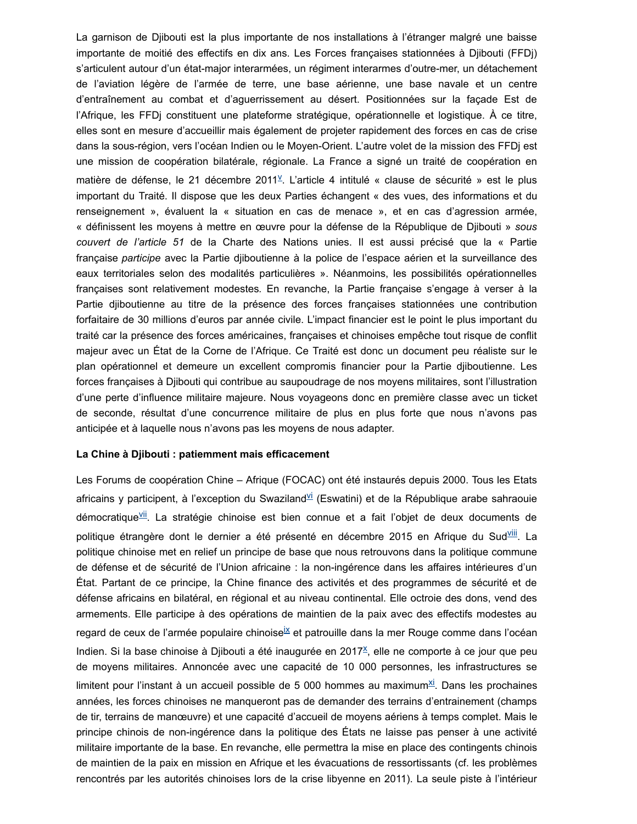La garnison de Djibouti est la plus importante de nos installations à l'étranger malgré une baisse importante de moitié des effectifs en dix ans. Les Forces françaises stationnées à Djibouti (FFDj) s'articulent autour d'un état-major interarmées, un régiment interarmes d'outre-mer, un détachement de l'aviation légère de l'armée de terre, une base aérienne, une base navale et un centre d'entraînement au combat et d'aguerrissement au désert. Positionnées sur la façade Est de l'Afrique, les FFDj constituent une plateforme stratégique, opérationnelle et logistique. À ce titre, elles sont en mesure d'accueillir mais également de projeter rapidement des forces en cas de crise dans la sous-région, vers l'océan Indien ou le Moyen-Orient. L'autre volet de la mission des FFDj est une mission de coopération bilatérale, régionale. La France a signé un traité de coopération en matière de défense, le 21 décembre 2011<sup>[v](http://life-peace.org/hab/djibouti-la-naissance-dune-armee-europeenne/#sdendnote5sym)</sup>. L'article 4 intitulé « clause de sécurité » est le plus important du Traité. Il dispose que les deux Parties échangent « des vues, des informations et du renseignement », évaluent la « situation en cas de menace », et en cas d'agression armée, « définissent les moyens à mettre en œuvre pour la défense de la République de Djibouti » *sous couvert de l'article 51* de la Charte des Nations unies. Il est aussi précisé que la « Partie française *participe* avec la Partie djiboutienne à la police de l'espace aérien et la surveillance des eaux territoriales selon des modalités particulières ». Néanmoins, les possibilités opérationnelles françaises sont relativement modestes*.* En revanche, la Partie française s'engage à verser à la Partie djiboutienne au titre de la présence des forces françaises stationnées une contribution forfaitaire de 30 millions d'euros par année civile. L'impact financier est le point le plus important du traité car la présence des forces américaines, françaises et chinoises empêche tout risque de conflit majeur avec un État de la Corne de l'Afrique. Ce Traité est donc un document peu réaliste sur le plan opérationnel et demeure un excellent compromis financier pour la Partie djiboutienne. Les forces françaises à Djibouti qui contribue au saupoudrage de nos moyens militaires, sont l'illustration d'une perte d'influence militaire majeure. Nous voyageons donc en première classe avec un ticket de seconde, résultat d'une concurrence militaire de plus en plus forte que nous n'avons pas anticipée et à laquelle nous n'avons pas les moyens de nous adapter.

#### **La Chine à Djibouti : patiemment mais efficacement**

Les Forums de coopération Chine – Afrique (FOCAC) ont été instaurés depuis 2000. Tous les Etats africains y participent, à l'exception du Swaziland<sup>[vi](http://life-peace.org/hab/djibouti-la-naissance-dune-armee-europeenne/#sdendnote6sym)</sup> (Eswatini) et de la République arabe sahraouie démocratique<sup><u>[vii](http://life-peace.org/hab/djibouti-la-naissance-dune-armee-europeenne/#sdendnote7sym)</u>. La stratégie chinoise est bien connue et a fait l'objet de deux documents de</sup> politique étrangère dont le dernier a été présenté en décembre 2015 en Afrique du Sud<sup>[viii](http://life-peace.org/hab/djibouti-la-naissance-dune-armee-europeenne/#sdendnote8sym)</sup>. La politique chinoise met en relief un principe de base que nous retrouvons dans la politique commune de défense et de sécurité de l'Union africaine : la non-ingérence dans les affaires intérieures d'un État. Partant de ce principe, la Chine finance des activités et des programmes de sécurité et de défense africains en bilatéral, en régional et au niveau continental. Elle octroie des dons, vend des armements. Elle participe à des opérations de maintien de la paix avec des effectifs modestes au regard de ceux de l'armée populaire chinoise<sup>[ix](http://life-peace.org/hab/djibouti-la-naissance-dune-armee-europeenne/#sdendnote9sym)</sup> et patrouille dans la mer Rouge comme dans l'océan Indien. Si la base chinoise à Djibouti a été inaugurée en 2017<sup>[x](http://life-peace.org/hab/djibouti-la-naissance-dune-armee-europeenne/#sdendnote10sym)</sup>, elle ne comporte à ce jour que peu de moyens militaires. Annoncée avec une capacité de 10 000 personnes, les infrastructures se limitent pour l'instant à un accueil possible de 5 000 hommes au ma[xi](http://life-peace.org/hab/djibouti-la-naissance-dune-armee-europeenne/#sdendnote11sym)mum<sup>xi</sup>. Dans les prochaines années, les forces chinoises ne manqueront pas de demander des terrains d'entrainement (champs de tir, terrains de manœuvre) et une capacité d'accueil de moyens aériens à temps complet. Mais le principe chinois de non-ingérence dans la politique des États ne laisse pas penser à une activité militaire importante de la base. En revanche, elle permettra la mise en place des contingents chinois de maintien de la paix en mission en Afrique et les évacuations de ressortissants (cf. les problèmes rencontrés par les autorités chinoises lors de la crise libyenne en 2011). La seule piste à l'intérieur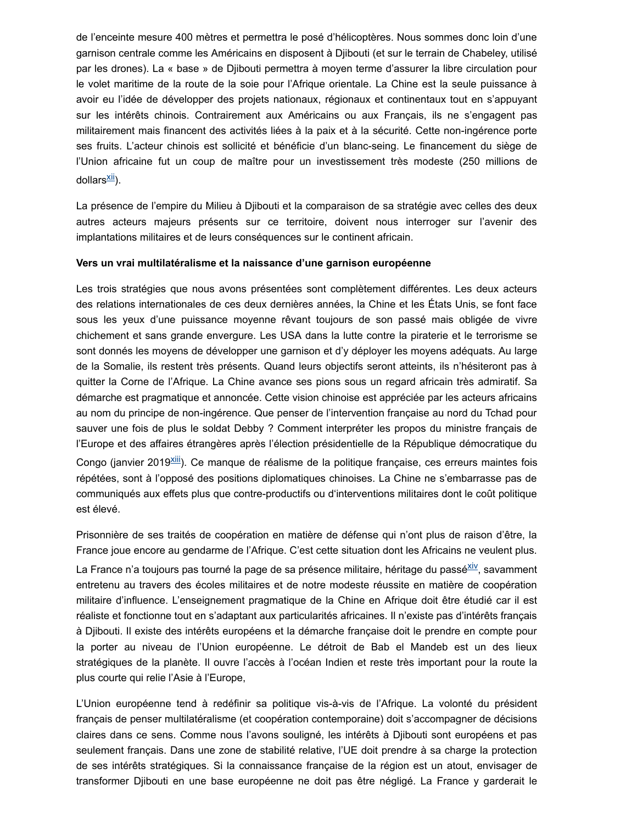de l'enceinte mesure 400 mètres et permettra le posé d'hélicoptères. Nous sommes donc loin d'une garnison centrale comme les Américains en disposent à Djibouti (et sur le terrain de Chabeley, utilisé par les drones). La « base » de Djibouti permettra à moyen terme d'assurer la libre circulation pour le volet maritime de la route de la soie pour l'Afrique orientale. La Chine est la seule puissance à avoir eu l'idée de développer des projets nationaux, régionaux et continentaux tout en s'appuyant sur les intérêts chinois. Contrairement aux Américains ou aux Français, ils ne s'engagent pas militairement mais financent des activités liées à la paix et à la sécurité. Cette non-ingérence porte ses fruits. L'acteur chinois est sollicité et bénéficie d'un blanc-seing. Le financement du siège de l'Union africaine fut un coup de maître pour un investissement très modeste (250 millions de dollars<sup>[xii](http://life-peace.org/hab/djibouti-la-naissance-dune-armee-europeenne/#sdendnote12sym)</sup>).

La présence de l'empire du Milieu à Djibouti et la comparaison de sa stratégie avec celles des deux autres acteurs majeurs présents sur ce territoire, doivent nous interroger sur l'avenir des implantations militaires et de leurs conséquences sur le continent africain.

#### **Vers un vrai multilatéralisme et la naissance d'une garnison européenne**

Les trois stratégies que nous avons présentées sont complètement différentes. Les deux acteurs des relations internationales de ces deux dernières années, la Chine et les États Unis, se font face sous les yeux d'une puissance moyenne rêvant toujours de son passé mais obligée de vivre chichement et sans grande envergure. Les USA dans la lutte contre la piraterie et le terrorisme se sont donnés les moyens de développer une garnison et d'y déployer les moyens adéquats. Au large de la Somalie, ils restent très présents. Quand leurs objectifs seront atteints, ils n'hésiteront pas à quitter la Corne de l'Afrique. La Chine avance ses pions sous un regard africain très admiratif. Sa démarche est pragmatique et annoncée. Cette vision chinoise est appréciée par les acteurs africains au nom du principe de non-ingérence. Que penser de l'intervention française au nord du Tchad pour sauver une fois de plus le soldat Debby ? Comment interpréter les propos du ministre français de l'Europe et des affaires étrangères après l'élection présidentielle de la République démocratique du Congo (janvier 2019<sup>[xiii](http://life-peace.org/hab/djibouti-la-naissance-dune-armee-europeenne/#sdendnote13sym)</sup>). Ce manque de réalisme de la politique française, ces erreurs maintes fois répétées, sont à l'opposé des positions diplomatiques chinoises. La Chine ne s'embarrasse pas de communiqués aux effets plus que contre-productifs ou d'interventions militaires dont le coût politique est élevé.

Prisonnière de ses traités de coopération en matière de défense qui n'ont plus de raison d'être, la France joue encore au gendarme de l'Afrique. C'est cette situation dont les Africains ne veulent plus. La France n'a toujours pas tourné la page de sa présence militaire, héritage du passé<sup>[xiv](http://life-peace.org/hab/djibouti-la-naissance-dune-armee-europeenne/#sdendnote14sym)</sup>, savamment entretenu au travers des écoles militaires et de notre modeste réussite en matière de coopération militaire d'influence. L'enseignement pragmatique de la Chine en Afrique doit être étudié car il est réaliste et fonctionne tout en s'adaptant aux particularités africaines. Il n'existe pas d'intérêts français à Djibouti. Il existe des intérêts européens et la démarche française doit le prendre en compte pour la porter au niveau de l'Union européenne. Le détroit de Bab el Mandeb est un des lieux

stratégiques de la planète. Il ouvre l'accès à l'océan Indien et reste très important pour la route la

plus courte qui relie l'Asie à l'Europe,

L'Union européenne tend à redéfinir sa politique vis-à-vis de l'Afrique. La volonté du président français de penser multilatéralisme (et coopération contemporaine) doit s'accompagner de décisions claires dans ce sens. Comme nous l'avons souligné, les intérêts à Djibouti sont européens et pas seulement français. Dans une zone de stabilité relative, l'UE doit prendre à sa charge la protection de ses intérêts stratégiques. Si la connaissance française de la région est un atout, envisager de transformer Djibouti en une base européenne ne doit pas être négligé. La France y garderait le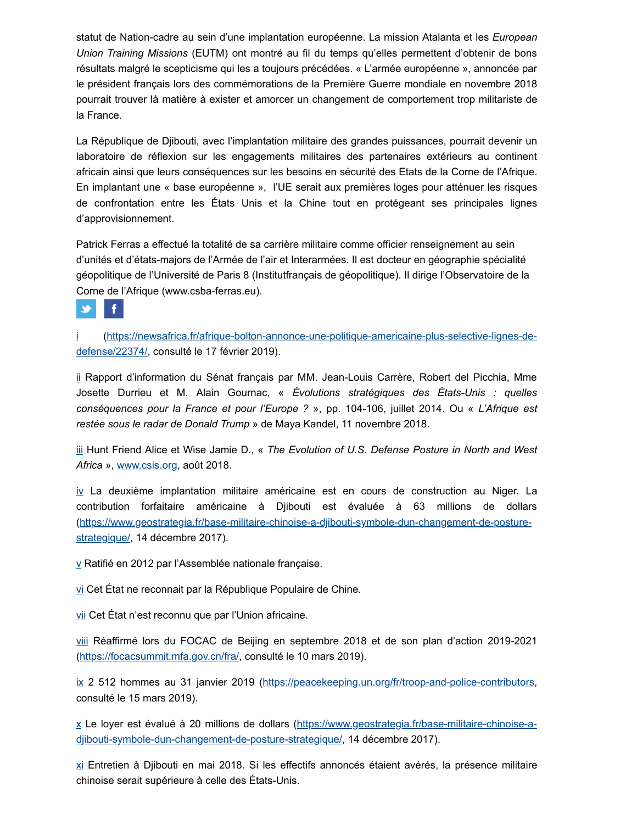statut de Nation-cadre au sein d'une implantation européenne. La mission Atalanta et les *European Union Training Missions* (EUTM) ont montré au fil du temps qu'elles permettent d'obtenir de bons résultats malgré le scepticisme qui les a toujours précédées. « L'armée européenne », annoncée par le président français lors des commémorations de la Première Guerre mondiale en novembre 2018 pourrait trouver là matière à exister et amorcer un changement de comportement trop militariste de la France.

La République de Djibouti, avec l'implantation militaire des grandes puissances, pourrait devenir un laboratoire de réflexion sur les engagements militaires des partenaires extérieurs au continent africain ainsi que leurs conséquences sur les besoins en sécurité des Etats de la Corne de l'Afrique. En implantant une « base européenne », l'UE serait aux premières loges pour atténuer les risques de confrontation entre les États Unis et la Chine tout en protégeant ses principales lignes d'approvisionnement.

Patrick Ferras a effectué la totalité de sa carrière militaire comme officier renseignement au sein d'unités et d'états-majors de l'Armée de l'air et Interarmées. Il est docteur en géographie spécialité géopolitique de l'Université de Paris 8 (Institutfrançais de géopolitique). Il dirige l'Observatoire de la Corne de l'Afrique (www.csba-ferras.eu).



[i](http://life-peace.org/hab/djibouti-la-naissance-dune-armee-europeenne/#sdendnote1anc) [\(https://newsafrica.fr/afrique-bolton-annonce-une-politique-americaine-plus-selective-lignes-de](https://newsafrica.fr/afrique-bolton-annonce-une-politique-americaine-plus-selective-lignes-de-defense/22374/)defense/22374/, consulté le 17 février 2019).

[ii](http://life-peace.org/hab/djibouti-la-naissance-dune-armee-europeenne/#sdendnote2anc) Rapport d'information du Sénat français par MM. Jean-Louis Carrère, Robert del Picchia, Mme Josette Durrieu et M. Alain Gournac, « *Évolutions stratégiques des États-Unis : quelles conséquences pour la France et pour l'Europe ?* », pp. 104-106, juillet 2014. Ou « *L'Afrique est restée sous le radar de Donald Trump* » de Maya Kandel, 11 novembre 2018.

[iii](http://life-peace.org/hab/djibouti-la-naissance-dune-armee-europeenne/#sdendnote3anc) Hunt Friend Alice et Wise Jamie D., « *The Evolution of U.S. Defense Posture in North and West Africa* », [www.csis.org](http://www.csis.org/), août 2018.

 $iv$  $iv$  $iv$  La deuxième implantation militaire américaine est en cours de construction au Niger. La</u> contribution forfaitaire américaine à Djibouti est évaluée à 63 millions de dollars [\(https://www.geostrategia.fr/base-militaire-chinoise-a-djibouti-symbole-dun-changement-de-posture](https://www.geostrategia.fr/base-militaire-chinoise-a-djibouti-symbole-dun-changement-de-posture-strategique/)strategique/, 14 décembre 2017).

[v](http://life-peace.org/hab/djibouti-la-naissance-dune-armee-europeenne/#sdendnote5anc) Ratifié en 2012 par l'Assemblée nationale française.

[vi](http://life-peace.org/hab/djibouti-la-naissance-dune-armee-europeenne/#sdendnote6anc) Cet État ne reconnait par la République Populaire de Chine.

[vii](http://life-peace.org/hab/djibouti-la-naissance-dune-armee-europeenne/#sdendnote7anc) Cet État n'est reconnu que par l'Union africaine.

[viii](http://life-peace.org/hab/djibouti-la-naissance-dune-armee-europeenne/#sdendnote8anc) Réaffirmé lors du FOCAC de Beijing en septembre 2018 et de son plan d'action 2019-2021 [\(https://focacsummit.mfa.gov.cn/fra/,](https://focacsummit.mfa.gov.cn/fra/) consulté le 10 mars 2019).

[ix](http://life-peace.org/hab/djibouti-la-naissance-dune-armee-europeenne/#sdendnote9anc) 2 512 hommes au 31 janvier 2019 ([https://peacekeeping.un.org/fr/troop-and-police-contributors,](https://peacekeeping.un.org/fr/troop-and-police-contributors) consulté le 15 mars 2019).

[x](http://life-peace.org/hab/djibouti-la-naissance-dune-armee-europeenne/#sdendnote10anc) [Le loyer est évalué à 20 millions de dollars \(https://www.geostrategia.fr/base-militaire-chinoise-a](https://www.geostrategia.fr/base-militaire-chinoise-a-djibouti-symbole-dun-changement-de-posture-strategique/)djibouti-symbole-dun-changement-de-posture-strategique/, 14 décembre 2017).

[xi](http://life-peace.org/hab/djibouti-la-naissance-dune-armee-europeenne/#sdendnote11anc) Entretien à Djibouti en mai 2018. Si les effectifs annoncés étaient avérés, la présence militaire chinoise serait supérieure à celle des États-Unis.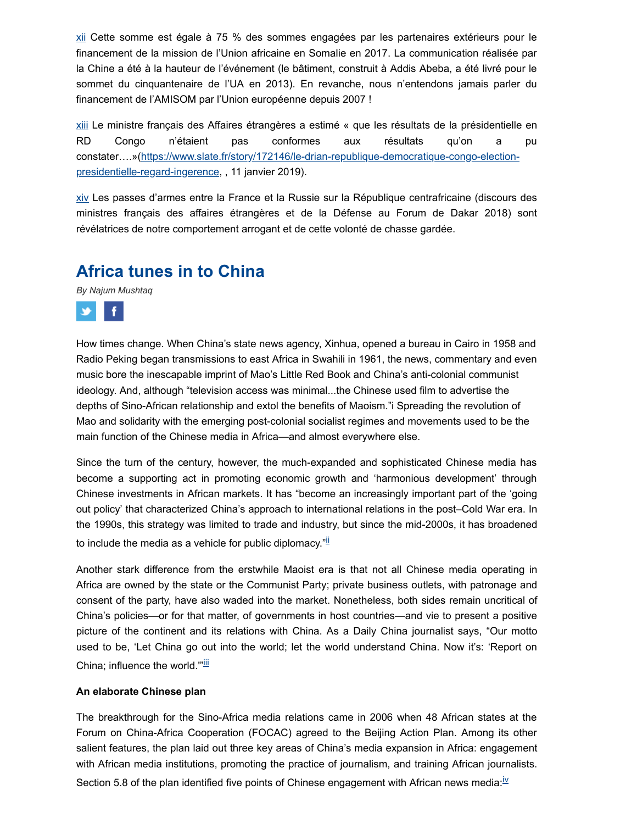[xii](http://life-peace.org/hab/djibouti-la-naissance-dune-armee-europeenne/#sdendnote12anc) Cette somme est égale à 75 % des sommes engagées par les partenaires extérieurs pour le financement de la mission de l'Union africaine en Somalie en 2017. La communication réalisée par la Chine a été à la hauteur de l'événement (le bâtiment, construit à Addis Abeba, a été livré pour le sommet du cinquantenaire de l'UA en 2013). En revanche, nous n'entendons jamais parler du financement de l'AMISOM par l'Union européenne depuis 2007 !

[xiii](http://life-peace.org/hab/djibouti-la-naissance-dune-armee-europeenne/#sdendnote13anc) Le ministre français des Affaires étrangères a estimé « que les résultats de la présidentielle en RD Congo n'étaient pas conformes aux résultats qu'on a pu [constater….»\(https://www.slate.fr/story/172146/le-drian-republique-democratique-congo-election](https://www.slate.fr/story/172146/le-drian-republique-democratique-congo-election-presidentielle-regard-ingerence)presidentielle-regard-ingerence, , 11 janvier 2019).

[xiv](http://life-peace.org/hab/djibouti-la-naissance-dune-armee-europeenne/#sdendnote14anc) Les passes d'armes entre la France et la Russie sur la République centrafricaine (discours des ministres français des affaires étrangères et de la Défense au Forum de Dakar 2018) sont révélatrices de notre comportement arrogant et de cette volonté de chasse gardée.

## **Africa tunes in to China**

*By Najum Mushtaq*



How times change. When China's state news agency, Xinhua, opened a bureau in Cairo in 1958 and Radio Peking began transmissions to east Africa in Swahili in 1961, the news, commentary and even music bore the inescapable imprint of Mao's Little Red Book and China's anti-colonial communist ideology. And, although "television access was minimal...the Chinese used film to advertise the depths of Sino-African relationship and extol the benefits of Maoism."i Spreading the revolution of Mao and solidarity with the emerging post-colonial socialist regimes and movements used to be the main function of the Chinese media in Africa—and almost everywhere else.

Since the turn of the century, however, the much-expanded and sophisticated Chinese media has become a supporting act in promoting economic growth and 'harmonious development' through Chinese investments in African markets. It has "become an increasingly important part of the 'going out policy' that characterized China's approach to international relations in the post–Cold War era. In the 1990s, this strategy was limited to trade and industry, but since the mid-2000s, it has broadened to include the media as a vehicle for public diplomacy."<sup>II</sup>

Another stark difference from the erstwhile Maoist era is that not all Chinese media operating in Africa are owned by the state or the Communist Party; private business outlets, with patronage and consent of the party, have also waded into the market. Nonetheless, both sides remain uncritical of China's policies—or for that matter, of governments in host countries—and vie to present a positive picture of the continent and its relations with China. As a Daily China journalist says, "Our motto used to be, 'Let China go out into the world; let the world understand China. Now it's: 'Report on China; influence the world."<sup>[iii](http://life-peace.org/hab/africa-tunes-in-to-china/#sdendnote3sym)</sup>

#### **An elaborate Chinese plan**

The breakthrough for the Sino-Africa media relations came in 2006 when 48 African states at the Forum on China-Africa Cooperation (FOCAC) agreed to the Beijing Action Plan. Among its other salient features, the plan laid out three key areas of China's media expansion in Africa: engagement with African media institutions, promoting the practice of journalism, and training African journalists. Section 5.8 of the plan identified f[iv](http://life-peace.org/hab/africa-tunes-in-to-china/#sdendnote4sym)e points of Chinese engagement with African news media: $\mathbb{V}$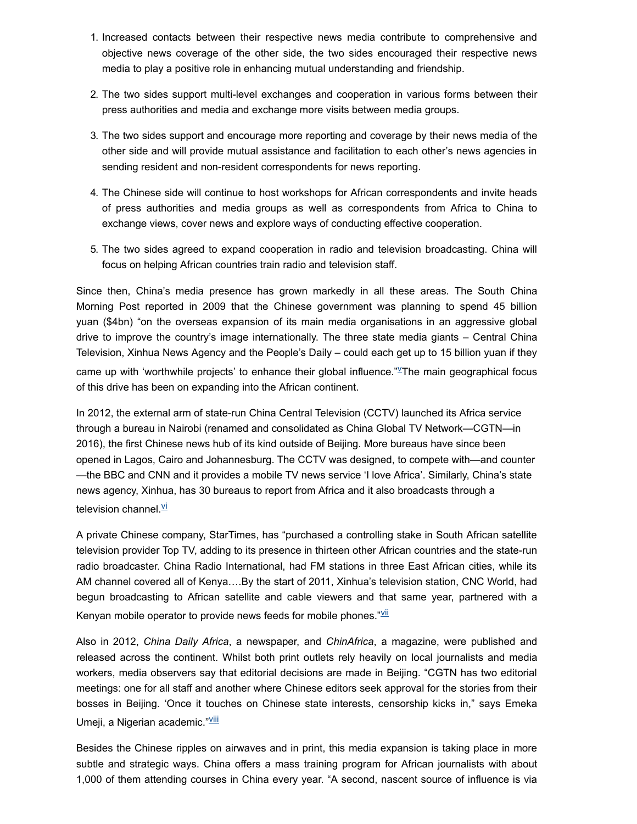- 1. Increased contacts between their respective news media contribute to comprehensive and objective news coverage of the other side, the two sides encouraged their respective news media to play a positive role in enhancing mutual understanding and friendship.
- 2. The two sides support multi-level exchanges and cooperation in various forms between their press authorities and media and exchange more visits between media groups.
- 3. The two sides support and encourage more reporting and coverage by their news media of the other side and will provide mutual assistance and facilitation to each other's news agencies in sending resident and non-resident correspondents for news reporting.
- 4. The Chinese side will continue to host workshops for African correspondents and invite heads of press authorities and media groups as well as correspondents from Africa to China to exchange views, cover news and explore ways of conducting effective cooperation.
- 5. The two sides agreed to expand cooperation in radio and television broadcasting. China will focus on helping African countries train radio and television staff.

Since then, China's media presence has grown markedly in all these areas. The South China Morning Post reported in 2009 that the Chinese government was planning to spend 45 billion yuan (\$4bn) "on the overseas expansion of its main media organisations in an aggressive global drive to improve the country's image internationally. The three state media giants – Central China Television, Xinhua News Agency and the People's Daily – could each get up to 15 billion yuan if they came up with 'worthwhile projects' to enhance their global influence."  $\mathbb{Z}$ The main geographical focus of this drive has been on expanding into the African continent.

In 2012, the external arm of state-run China Central Television (CCTV) launched its Africa service through a bureau in Nairobi (renamed and consolidated as China Global TV Network—CGTN—in 2016), the first Chinese news hub of its kind outside of Beijing. More bureaus have since been opened in Lagos, Cairo and Johannesburg. The CCTV was designed, to compete with—and counter —the BBC and CNN and it provides a mobile TV news service 'I love Africa'. Similarly, China's state news agency, Xinhua, has 30 bureaus to report from Africa and it also broadcasts through a tele[vi](http://life-peace.org/hab/africa-tunes-in-to-china/#sdendnote6sym)sion channel. V

A private Chinese company, StarTimes, has "purchased a controlling stake in South African satellite television provider Top TV, adding to its presence in thirteen other African countries and the state-run radio broadcaster. China Radio International, had FM stations in three East African cities, while its AM channel covered all of Kenya….By the start of 2011, Xinhua's television station, CNC World, had begun broadcasting to African satellite and cable viewers and that same year, partnered with a Kenyan mobile operator to provide news feeds for mobile phones." $\frac{V}{V}$ 

Also in 2012, *China Daily Africa*, a newspaper, and *ChinAfrica*, a magazine, were published and released across the continent. Whilst both print outlets rely heavily on local journalists and media workers, media observers say that editorial decisions are made in Beijing. "CGTN has two editorial meetings: one for all staff and another where Chinese editors seek approval for the stories from their bosses in Beijing. 'Once it touches on Chinese state interests, censorship kicks in," says Emeka Umeji, a Nigerian academic."<sup>VIII</sup>

Besides the Chinese ripples on airwaves and in print, this media expansion is taking place in more subtle and strategic ways. China offers a mass training program for African journalists with about 1,000 of them attending courses in China every year. "A second, nascent source of influence is via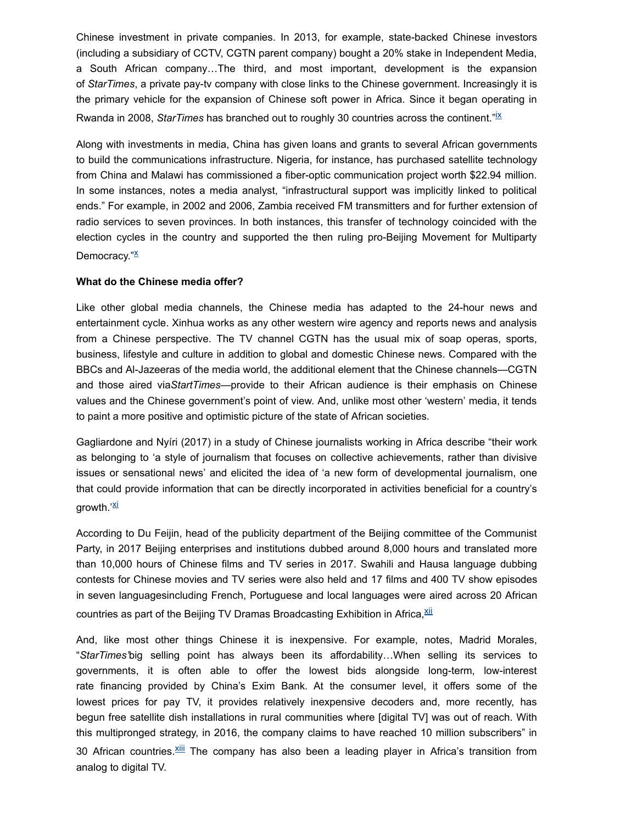Chinese investment in private companies. In 2013, for example, state-backed Chinese investors (including a subsidiary of CCTV, CGTN parent company) bought a 20% stake in Independent Media, a South African company…The third, and most important, development is the expansion of *StarTimes*, a private pay-tv company with close links to the Chinese government. Increasingly it is the primary vehicle for the expansion of Chinese soft power in Africa. Since it began operating in Rwanda in 2008, *StarTimes* has branched out to roughly 30 countries across the continent."<sup>[ix](http://life-peace.org/hab/africa-tunes-in-to-china/#sdendnote9sym)</sup>

Along with investments in media, China has given loans and grants to several African governments to build the communications infrastructure. Nigeria, for instance, has purchased satellite technology from China and Malawi has commissioned a fiber-optic communication project worth \$22.94 million. In some instances, notes a media analyst, "infrastructural support was implicitly linked to political ends." For example, in 2002 and 2006, Zambia received FM transmitters and for further extension of radio services to seven provinces. In both instances, this transfer of technology coincided with the election cycles in the country and supported the then ruling pro-Beijing Movement for Multiparty Democracy."<sup>X</sup>

#### **What do the Chinese media offer?**

Like other global media channels, the Chinese media has adapted to the 24-hour news and entertainment cycle. Xinhua works as any other western wire agency and reports news and analysis from a Chinese perspective. The TV channel CGTN has the usual mix of soap operas, sports, business, lifestyle and culture in addition to global and domestic Chinese news. Compared with the BBCs and Al-Jazeeras of the media world, the additional element that the Chinese channels—CGTN and those aired via*StartTimes*—provide to their African audience is their emphasis on Chinese values and the Chinese government's point of view. And, unlike most other 'western' media, it tends to paint a more positive and optimistic picture of the state of African societies.

Gagliardone and Nyíri (2017) in a study of Chinese journalists working in Africa describe "their work as belonging to 'a style of journalism that focuses on collective achievements, rather than divisive issues or sensational news' and elicited the idea of 'a new form of developmental journalism, one that could provide information that can be directly incorporated in activities beneficial for a country's arowth.'<sup><u>[xi](http://life-peace.org/hab/africa-tunes-in-to-china/#sdendnote11sym)</u></sup>

According to Du Feijin, head of the publicity department of the Beijing committee of the Communist Party, in 2017 Beijing enterprises and institutions dubbed around 8,000 hours and translated more than 10,000 hours of Chinese films and TV series in 2017. Swahili and Hausa language dubbing contests for Chinese movies and TV series were also held and 17 films and 400 TV show episodes in seven languagesincluding French, Portuguese and local languages were aired across 20 African countries as part of the Beijing TV Dramas Broadcasting Exhibition in Africa, $\frac{x}{ii}$ 

And, like most other things Chinese it is inexpensive. For example, notes, Madrid Morales, "*StarTimes'*big selling point has always been its affordability…When selling its services to governments, it is often able to offer the lowest bids alongside long-term, low-interest rate financing provided by China's Exim Bank. At the consumer level, it offers some of the lowest prices for pay TV, it provides relatively inexpensive decoders and, more recently, has begun free satellite dish installations in rural communities where [digital TV] was out of reach. With this multipronged strategy, in 2016, the company claims to have reached 10 million subscribers" in 30 African countries. Xill The company has also been a leading player in Africa's transition from analog to digital TV.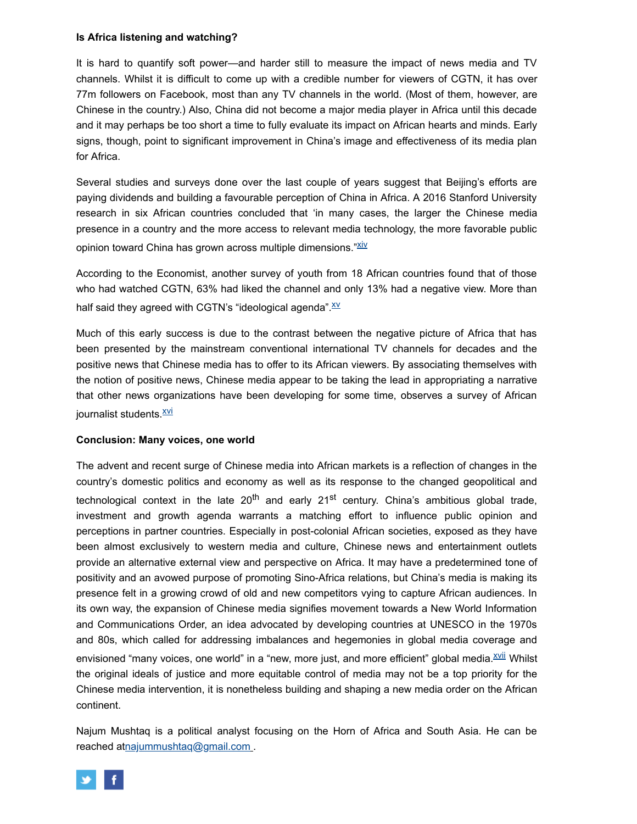#### **Is Africa listening and watching?**

It is hard to quantify soft power—and harder still to measure the impact of news media and TV channels. Whilst it is difficult to come up with a credible number for viewers of CGTN, it has over 77m followers on Facebook, most than any TV channels in the world. (Most of them, however, are Chinese in the country.) Also, China did not become a major media player in Africa until this decade and it may perhaps be too short a time to fully evaluate its impact on African hearts and minds. Early signs, though, point to significant improvement in China's image and effectiveness of its media plan for Africa.

Several studies and surveys done over the last couple of years suggest that Beijing's efforts are paying dividends and building a favourable perception of China in Africa. A 2016 Stanford University research in six African countries concluded that 'in many cases, the larger the Chinese media presence in a country and the more access to relevant media technology, the more favorable public opinion toward China has grown across multiple dimensions."<sup>Xiv</sup>

According to the Economist, another survey of youth from 18 African countries found that of those who had watched CGTN, 63% had liked the channel and only 13% had a negative view. More than half said they agreed with CGTN's "ideological agenda". XX

Much of this early success is due to the contrast between the negative picture of Africa that has been presented by the mainstream conventional international TV channels for decades and the positive news that Chinese media has to offer to its African viewers. By associating themselves with the notion of positive news, Chinese media appear to be taking the lead in appropriating a narrative that other news organizations have been developing for some time, observes a survey of African journalist students. $\frac{XVI}{Y}$ 

#### **Conclusion: Many voices, one world**

The advent and recent surge of Chinese media into African markets is a reflection of changes in the country's domestic politics and economy as well as its response to the changed geopolitical and technological context in the late 20<sup>th</sup> and early 21<sup>st</sup> century. China's ambitious global trade, investment and growth agenda warrants a matching effort to influence public opinion and perceptions in partner countries. Especially in post-colonial African societies, exposed as they have been almost exclusively to western media and culture, Chinese news and entertainment outlets provide an alternative external view and perspective on Africa. It may have a predetermined tone of positivity and an avowed purpose of promoting Sino-Africa relations, but China's media is making its presence felt in a growing crowd of old and new competitors vying to capture African audiences. In its own way, the expansion of Chinese media signifies movement towards a New World Information and Communications Order, an idea advocated by developing countries at UNESCO in the 1970s and 80s, which called for addressing imbalances and hegemonies in global media coverage and envisioned "many voices, one world" in a "new, more just, and more efficient" global media. XVII Whilst the original ideals of justice and more equitable control of media may not be a top priority for the Chinese media intervention, it is nonetheless building and shaping a new media order on the African continent.

Najum Mushtaq is a political analyst focusing on the Horn of Africa and South Asia. He can be reached a[tnajummushtaq@gmail.com](mailto:najummushtaq@gmail.com) .

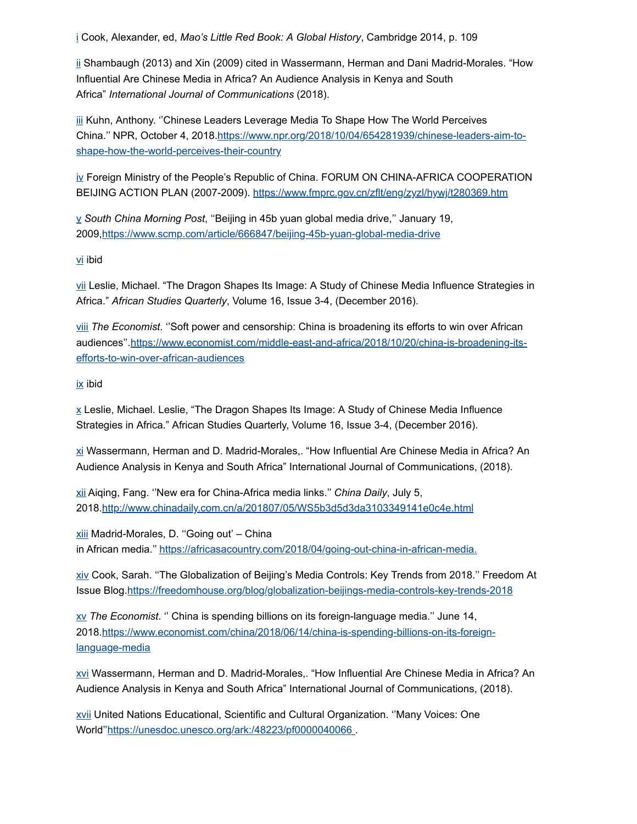[i](http://life-peace.org/hab/africa-tunes-in-to-china/#sdendnote1anc) Cook, Alexander, ed, *Mao's Little Red Book: A Global History*, Cambridge 2014, p. 109

[ii](http://life-peace.org/hab/africa-tunes-in-to-china/#sdendnote2anc) Shambaugh (2013) and Xin (2009) cited in Wassermann, Herman and Dani Madrid-Morales. "How Influential Are Chinese Media in Africa? An Audience Analysis in Kenya and South Africa" *International Journal of Communications* (2018).

[iii](http://life-peace.org/hab/africa-tunes-in-to-china/#sdendnote3anc) Kuhn, Anthony. ''Chinese Leaders Leverage Media To Shape How The World Perceives [China.'' NPR, October 4, 2018.https://www.npr.org/2018/10/04/654281939/chinese-leaders-aim-to](https://www.npr.org/2018/10/04/654281939/chinese-leaders-aim-to-shape-how-the-world-perceives-their-country)shape-how-the-world-perceives-their-country

[iv](http://life-peace.org/hab/africa-tunes-in-to-china/#sdendnote4anc) Foreign Ministry of the People's Republic of China. FORUM ON CHINA-AFRICA COOPERATION BEIJING ACTION PLAN (2007-2009).<https://www.fmprc.gov.cn/zflt/eng/zyzl/hywj/t280369.htm>

[v](http://life-peace.org/hab/africa-tunes-in-to-china/#sdendnote5anc) *South China Morning Post*, ''Beijing in 45b yuan global media drive,'' January 19, 2009[,https://www.scmp.com/article/666847/beijing-45b-yuan-global-media-drive](https://www.scmp.com/article/666847/beijing-45b-yuan-global-media-drive)

[vi](http://life-peace.org/hab/africa-tunes-in-to-china/#sdendnote6anc) ibid

[vii](http://life-peace.org/hab/africa-tunes-in-to-china/#sdendnote7anc) Leslie, Michael. "The Dragon Shapes Its Image: A Study of Chinese Media Influence Strategies in Africa." *African Studies Quarterly*, Volume 16, Issue 3-4, (December 2016).

[viii](http://life-peace.org/hab/africa-tunes-in-to-china/#sdendnote8anc) *The Economist*. ''Soft power and censorship: China is broadening its efforts to win over African [audiences''.https://www.economist.com/middle-east-and-africa/2018/10/20/china-is-broadening-its](https://www.economist.com/middle-east-and-africa/2018/10/20/china-is-broadening-its-efforts-to-win-over-african-audiences)efforts-to-win-over-african-audiences

[ix](http://life-peace.org/hab/africa-tunes-in-to-china/#sdendnote9anc) ibid

[x](http://life-peace.org/hab/africa-tunes-in-to-china/#sdendnote10anc) Leslie, Michael. Leslie, "The Dragon Shapes Its Image: A Study of Chinese Media Influence Strategies in Africa." African Studies Quarterly, Volume 16, Issue 3-4, (December 2016).

[xi](http://life-peace.org/hab/africa-tunes-in-to-china/#sdendnote11anc) Wassermann, Herman and D. Madrid-Morales,. "How Influential Are Chinese Media in Africa? An Audience Analysis in Kenya and South Africa" International Journal of Communications, (2018).

[xii](http://life-peace.org/hab/africa-tunes-in-to-china/#sdendnote12anc) Aiqing, Fang. ''New era for China-Africa media links.'' *China Daily*, July 5, 2018[.http://www.chinadaily.com.cn/a/201807/05/WS5b3d5d3da3103349141e0c4e.html](http://www.chinadaily.com.cn/a/201807/05/WS5b3d5d3da3103349141e0c4e.html)

[xiii](http://life-peace.org/hab/africa-tunes-in-to-china/#sdendnote13anc) Madrid-Morales, D. ''Going out' – China in African media." [https://africasacountry.com/2018/04/going-out-china-in-african-media.](https://africasacountry.com/2018/04/going-out-china-in-african-media)

[xiv](http://life-peace.org/hab/africa-tunes-in-to-china/#sdendnote14anc) Cook, Sarah. ''The Globalization of Beijing's Media Controls: Key Trends from 2018.'' Freedom At Issue Blog[.https://freedomhouse.org/blog/globalization-beijings-media-controls-key-trends-2018](https://freedomhouse.org/blog/globalization-beijings-media-controls-key-trends-2018)

[xv](http://life-peace.org/hab/africa-tunes-in-to-china/#sdendnote15anc) *The Economist*. '' China is spending billions on its foreign-language media.'' June 14, [2018.https://www.economist.com/china/2018/06/14/china-is-spending-billions-on-its-foreign](https://www.economist.com/china/2018/06/14/china-is-spending-billions-on-its-foreign-language-media)language-media

[xvi](http://life-peace.org/hab/africa-tunes-in-to-china/#sdendnote16anc) Wassermann, Herman and D. Madrid-Morales,. "How Influential Are Chinese Media in Africa? An Audience Analysis in Kenya and South Africa" International Journal of Communications, (2018).

[xvii](http://life-peace.org/hab/africa-tunes-in-to-china/#sdendnote17anc) United Nations Educational, Scientific and Cultural Organization. ''Many Voices: One World'['https://unesdoc.unesco.org/ark:/48223/pf0000040066](https://unesdoc.unesco.org/ark:/48223/pf0000040066) .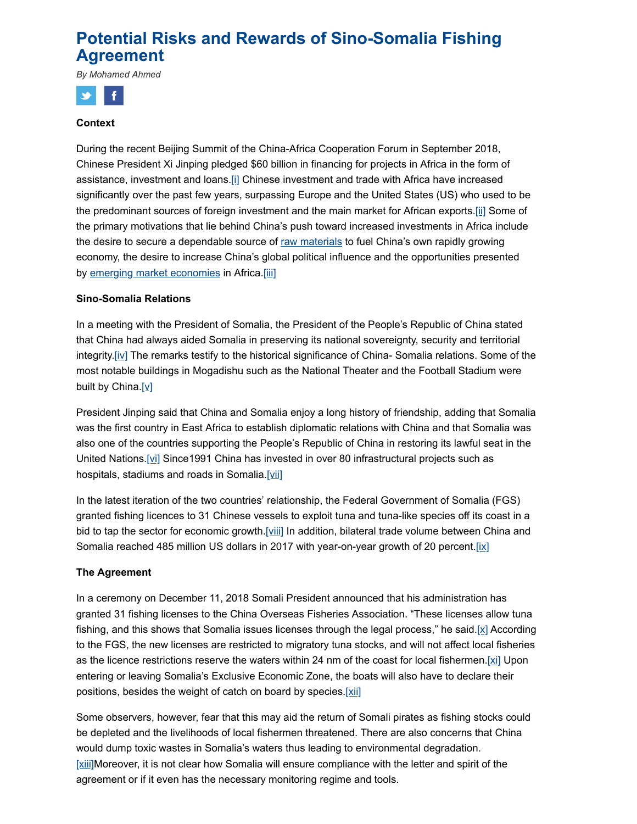# **Potential Risks and Rewards of Sino-Somalia Fishing Agreement**

*By Mohamed Ahmed*



#### **Context**

During the recent Beijing Summit of the China-Africa Cooperation Forum in September 2018, Chinese President Xi Jinping pledged \$60 billion in financing for projects in Africa in the form of assistance, investment and loans[.\[i\]](http://life-peace.org/hab/potential-risks-and-rewards-of-sino-somalia-fishing-agreement/#_edn1) Chinese investment and trade with Africa have increased significantly over the past few years, surpassing Europe and the United States (US) who used to be the predominant sources of foreign investment and the main market for African exports.[\[ii\]](http://life-peace.org/hab/potential-risks-and-rewards-of-sino-somalia-fishing-agreement/#_edn2) Some of the primary motivations that lie behind China's push toward increased investments in Africa include the desire to secure a dependable source of [raw materials](https://www.investopedia.com/terms/r/rawmaterials.asp) to fuel China's own rapidly growing economy, the desire to increase China's global political influence and the opportunities presented by [emerging market economies](https://www.investopedia.com/terms/e/emergingmarketeconomy.asp) in Africa[.\[iii\]](http://life-peace.org/hab/potential-risks-and-rewards-of-sino-somalia-fishing-agreement/#_edn3)

#### **Sino-Somalia Relations**

In a meeting with the President of Somalia, the President of the People's Republic of China stated that China had always aided Somalia in preserving its national sovereignty, security and territorial integrity[.\[iv\]](http://life-peace.org/hab/potential-risks-and-rewards-of-sino-somalia-fishing-agreement/#_edn4) The remarks testify to the historical significance of China- Somalia relations. Some of the most notable buildings in Mogadishu such as the National Theater and the Football Stadium were built by China.[y]

President Jinping said that China and Somalia enjoy a long history of friendship, adding that Somalia was the first country in East Africa to establish diplomatic relations with China and that Somalia was also one of the countries supporting the People's Republic of China in restoring its lawful seat in the United Nations[.\[vi\]](http://life-peace.org/hab/potential-risks-and-rewards-of-sino-somalia-fishing-agreement/#_edn6) Since1991 China has invested in over 80 infrastructural projects such as hospitals, stadiums and roads in Somalia[.\[vii\]](http://life-peace.org/hab/potential-risks-and-rewards-of-sino-somalia-fishing-agreement/#_edn7)

In the latest iteration of the two countries' relationship, the Federal Government of Somalia (FGS) granted fishing licences to 31 Chinese vessels to exploit tuna and tuna-like species off its coast in a bid to tap the sector for economic growth[.\[viii\]](http://life-peace.org/hab/potential-risks-and-rewards-of-sino-somalia-fishing-agreement/#_edn8) In addition, bilateral trade volume between China and Somalia reached 485 million US dollars in 2017 with year-on-year growth of 20 percent.  $[ix]$ 

#### **The Agreement**

In a ceremony on December 11, 2018 Somali President announced that his administration has granted 31 fishing licenses to the China Overseas Fisheries Association. "These licenses allow tuna fishing, and this shows that Somalia issues licenses through the legal process," he said.[\[x\]](http://life-peace.org/hab/potential-risks-and-rewards-of-sino-somalia-fishing-agreement/#_edn10) According to the FGS, the new licenses are restricted to migratory tuna stocks, and will not affect local fisheries as the licence restrictions reserve the waters within 24 nm of the coast for local fishermen. [ $xi$ ] Upon entering or leaving Somalia's Exclusive Economic Zone, the boats will also have to declare their positions, besides the weight of catch on board by species[.\[xii\]](http://life-peace.org/hab/potential-risks-and-rewards-of-sino-somalia-fishing-agreement/#_edn12)

Some observers, however, fear that this may aid the return of Somali pirates as fishing stocks could be depleted and the livelihoods of local fishermen threatened. There are also concerns that China would dump toxic wastes in Somalia's waters thus leading to environmental degradation. [\[xiii\]M](http://life-peace.org/hab/potential-risks-and-rewards-of-sino-somalia-fishing-agreement/#_edn13)oreover, it is not clear how Somalia will ensure compliance with the letter and spirit of the agreement or if it even has the necessary monitoring regime and tools.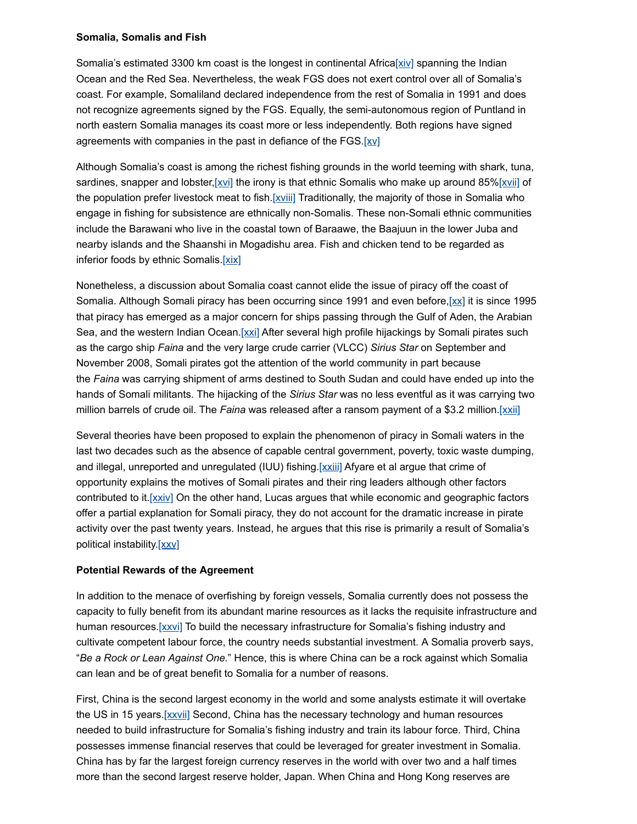#### **Somalia, Somalis and Fish**

Somalia's estimated 3300 km coast is the longest in continental Afric[a\[xiv\]](http://life-peace.org/hab/potential-risks-and-rewards-of-sino-somalia-fishing-agreement/#_edn14) spanning the Indian Ocean and the Red Sea. Nevertheless, the weak FGS does not exert control over all of Somalia's coast. For example, Somaliland declared independence from the rest of Somalia in 1991 and does not recognize agreements signed by the FGS. Equally, the semi-autonomous region of Puntland in north eastern Somalia manages its coast more or less independently. Both regions have signed agreements with companies in the past in defiance of the FGS.[\[xv\]](http://life-peace.org/hab/potential-risks-and-rewards-of-sino-somalia-fishing-agreement/#_edn15)

Although Somalia's coast is among the richest fishing grounds in the world teeming with shark, tuna, sardines, snapper and lobster, [ $xvi$ ] the irony is that ethnic Somalis who make up around 85% [ $xvii$ ] of the population prefer livestock meat to fish[.\[xviii\]](http://life-peace.org/hab/potential-risks-and-rewards-of-sino-somalia-fishing-agreement/#_edn18) Traditionally, the majority of those in Somalia who engage in fishing for subsistence are ethnically non-Somalis. These non-Somali ethnic communities include the Barawani who live in the coastal town of Baraawe, the Baajuun in the lower Juba and nearby islands and the Shaanshi in Mogadishu area. Fish and chicken tend to be regarded as inferior foods by ethnic Somalis[.\[xix\]](http://life-peace.org/hab/potential-risks-and-rewards-of-sino-somalia-fishing-agreement/#_edn19)

Nonetheless, a discussion about Somalia coast cannot elide the issue of piracy off the coast of Somalia. Although Somali piracy has been occurring since 1991 and even before,  $\left[\chi\chi\right]$  it is since 1995 that piracy has emerged as a major concern for ships passing through the Gulf of Aden, the Arabian Sea, and the western Indian Ocean.[\[xxi\]](http://life-peace.org/hab/potential-risks-and-rewards-of-sino-somalia-fishing-agreement/#_edn21) After several high profile hijackings by Somali pirates such as the cargo ship *Faina* and the very large crude carrier (VLCC) *Sirius Star* on September and November 2008, Somali pirates got the attention of the world community in part because the *Faina* was carrying shipment of arms destined to South Sudan and could have ended up into the hands of Somali militants. The hijacking of the *Sirius Star* was no less eventful as it was carrying two million barrels of crude oil. The *Faina* was released after a ransom payment of a \$3.2 million[.\[xxii\]](http://life-peace.org/hab/potential-risks-and-rewards-of-sino-somalia-fishing-agreement/#_edn22)

Several theories have been proposed to explain the phenomenon of piracy in Somali waters in the last two decades such as the absence of capable central government, poverty, toxic waste dumping, and illegal, unreported and unregulated (IUU) fishing. [XXIII] Afyare et al argue that crime of opportunity explains the motives of Somali pirates and their ring leaders although other factors contributed to it.[XXiV] On the other hand, Lucas argues that while economic and geographic factors offer a partial explanation for Somali piracy, they do not account for the dramatic increase in pirate activity over the past twenty years. Instead, he argues that this rise is primarily a result of Somalia's political instability[.\[xxv\]](http://life-peace.org/hab/potential-risks-and-rewards-of-sino-somalia-fishing-agreement/#_edn25)

#### **Potential Rewards of the Agreement**

In addition to the menace of overfishing by foreign vessels, Somalia currently does not possess the capacity to fully benefit from its abundant marine resources as it lacks the requisite infrastructure and human resources.[\[xxvi\]](http://life-peace.org/hab/potential-risks-and-rewards-of-sino-somalia-fishing-agreement/#_edn26) To build the necessary infrastructure for Somalia's fishing industry and cultivate competent labour force, the country needs substantial investment. A Somalia proverb says, "*Be a Rock or Lean Against One.*" Hence, this is where China can be a rock against which Somalia can lean and be of great benefit to Somalia for a number of reasons.

First, China is the second largest economy in the world and some analysts estimate it will overtake the US in 15 years.[\[xxvii\]](http://life-peace.org/hab/potential-risks-and-rewards-of-sino-somalia-fishing-agreement/#_edn27) Second, China has the necessary technology and human resources needed to build infrastructure for Somalia's fishing industry and train its labour force. Third, China possesses immense financial reserves that could be leveraged for greater investment in Somalia. China has by far the largest foreign currency reserves in the world with over two and a half times more than the second largest reserve holder, Japan. When China and Hong Kong reserves are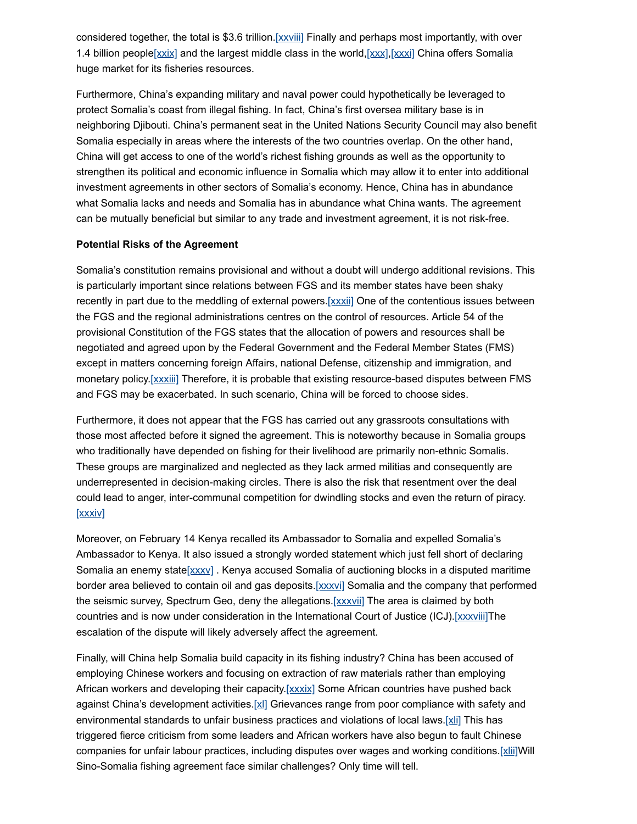considered together, the total is \$3.6 trillion.  $[xxxiii]$  Finally and perhaps most importantly, with over 1.4 billion people[ $xxix$ ] and the largest middle class in the world,[ $xxx$ ],[ $xxxi$ ] China offers Somalia huge market for its fisheries resources.

Furthermore, China's expanding military and naval power could hypothetically be leveraged to protect Somalia's coast from illegal fishing. In fact, China's first oversea military base is in neighboring Djibouti. China's permanent seat in the United Nations Security Council may also benefit Somalia especially in areas where the interests of the two countries overlap. On the other hand, China will get access to one of the world's richest fishing grounds as well as the opportunity to strengthen its political and economic influence in Somalia which may allow it to enter into additional investment agreements in other sectors of Somalia's economy. Hence, China has in abundance what Somalia lacks and needs and Somalia has in abundance what China wants. The agreement can be mutually beneficial but similar to any trade and investment agreement, it is not risk-free.

#### **Potential Risks of the Agreement**

Somalia's constitution remains provisional and without a doubt will undergo additional revisions. This is particularly important since relations between FGS and its member states have been shaky recently in part due to the meddling of external powers[.\[xxxii\]](http://life-peace.org/hab/potential-risks-and-rewards-of-sino-somalia-fishing-agreement/#_edn32) One of the contentious issues between the FGS and the regional administrations centres on the control of resources. Article 54 of the provisional Constitution of the FGS states that the allocation of powers and resources shall be negotiated and agreed upon by the Federal Government and the Federal Member States (FMS) except in matters concerning foreign Affairs, national Defense, citizenship and immigration, and monetary policy. [\[xxxiii\]](http://life-peace.org/hab/potential-risks-and-rewards-of-sino-somalia-fishing-agreement/#_edn33) Therefore, it is probable that existing resource-based disputes between FMS and FGS may be exacerbated. In such scenario, China will be forced to choose sides.

Furthermore, it does not appear that the FGS has carried out any grassroots consultations with those most affected before it signed the agreement. This is noteworthy because in Somalia groups who traditionally have depended on fishing for their livelihood are primarily non-ethnic Somalis. These groups are marginalized and neglected as they lack armed militias and consequently are underrepresented in decision-making circles. There is also the risk that resentment over the deal could lead to anger, inter-communal competition for dwindling stocks and even the return of piracy. [\[xxxiv\]](http://life-peace.org/hab/potential-risks-and-rewards-of-sino-somalia-fishing-agreement/#_edn34)

Moreover, on February 14 Kenya recalled its Ambassador to Somalia and expelled Somalia's Ambassador to Kenya. It also issued a strongly worded statement which just fell short of declaring Somalia an enemy state[xxxv]. Kenya accused Somalia of auctioning blocks in a disputed maritime border area believed to contain oil and gas deposits.[\[xxxvi\]](http://life-peace.org/hab/potential-risks-and-rewards-of-sino-somalia-fishing-agreement/#_edn36) Somalia and the company that performed the seismic survey, Spectrum Geo, deny the allegations. [xxxvii] The area is claimed by both countries and is now under consideration in the International Court of Justice (ICJ).[XXXViij]The escalation of the dispute will likely adversely affect the agreement.

Finally, will China help Somalia build capacity in its fishing industry? China has been accused of employing Chinese workers and focusing on extraction of raw materials rather than employing African workers and developing their capacity[.\[xxxix\]](http://life-peace.org/hab/potential-risks-and-rewards-of-sino-somalia-fishing-agreement/#_edn39) Some African countries have pushed back against China's development activities[.\[xl\]](http://life-peace.org/hab/potential-risks-and-rewards-of-sino-somalia-fishing-agreement/#_edn40) Grievances range from poor compliance with safety and environmental standards to unfair business practices and violations of local laws.[\[xli\]](http://life-peace.org/hab/potential-risks-and-rewards-of-sino-somalia-fishing-agreement/#_edn41) This has triggered fierce criticism from some leaders and African workers have also begun to fault Chinese companies for unfair labour practices, including disputes over wages and working conditions.[\[xlii\]](http://life-peace.org/hab/potential-risks-and-rewards-of-sino-somalia-fishing-agreement/#_edn42)Will Sino-Somalia fishing agreement face similar challenges? Only time will tell.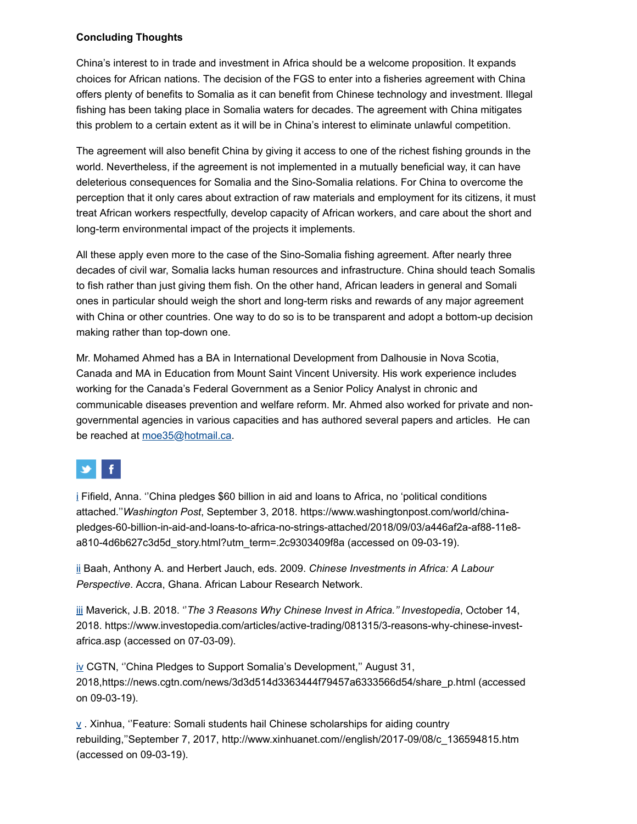#### **Concluding Thoughts**

China's interest to in trade and investment in Africa should be a welcome proposition. It expands choices for African nations. The decision of the FGS to enter into a fisheries agreement with China offers plenty of benefits to Somalia as it can benefit from Chinese technology and investment. Illegal fishing has been taking place in Somalia waters for decades. The agreement with China mitigates this problem to a certain extent as it will be in China's interest to eliminate unlawful competition.

The agreement will also benefit China by giving it access to one of the richest fishing grounds in the world. Nevertheless, if the agreement is not implemented in a mutually beneficial way, it can have deleterious consequences for Somalia and the Sino-Somalia relations. For China to overcome the perception that it only cares about extraction of raw materials and employment for its citizens, it must treat African workers respectfully, develop capacity of African workers, and care about the short and long-term environmental impact of the projects it implements.

All these apply even more to the case of the Sino-Somalia fishing agreement. After nearly three decades of civil war, Somalia lacks human resources and infrastructure. China should teach Somalis to fish rather than just giving them fish. On the other hand, African leaders in general and Somali ones in particular should weigh the short and long-term risks and rewards of any major agreement with China or other countries. One way to do so is to be transparent and adopt a bottom-up decision making rather than top-down one.

Mr. Mohamed Ahmed has a BA in International Development from Dalhousie in Nova Scotia, Canada and MA in Education from Mount Saint Vincent University. His work experience includes working for the Canada's Federal Government as a Senior Policy Analyst in chronic and communicable diseases prevention and welfare reform. Mr. Ahmed also worked for private and nongovernmental agencies in various capacities and has authored several papers and articles. He can be reached at [moe35@hotmail.ca](http://life-peace.org/hab/potential-risks-and-rewards-of-sino-somalia-fishing-agreement/moe35@hotmail.ca).

# f.

[i](http://life-peace.org/hab/potential-risks-and-rewards-of-sino-somalia-fishing-agreement/#sdendnote1anc) Fifield, Anna. ''China pledges \$60 billion in aid and loans to Africa, no 'political conditions attached.''*Washington Post*, September 3, 2018. https://www.washingtonpost.com/world/chinapledges-60-billion-in-aid-and-loans-to-africa-no-strings-attached/2018/09/03/a446af2a-af88-11e8 a810-4d6b627c3d5d\_story.html?utm\_term=.2c9303409f8a (accessed on 09-03-19).

[ii](http://life-peace.org/hab/potential-risks-and-rewards-of-sino-somalia-fishing-agreement/#sdendnote2anc) Baah, Anthony A. and Herbert Jauch, eds. 2009. *Chinese Investments in Africa: A Labour Perspective*. Accra, Ghana. African Labour Research Network.

[iii](http://life-peace.org/hab/potential-risks-and-rewards-of-sino-somalia-fishing-agreement/#sdendnote3anc) Maverick, J.B. 2018. ''*The 3 Reasons Why Chinese Invest in Africa.'' Investopedia*, October 14, 2018. https://www.investopedia.com/articles/active-trading/081315/3-reasons-why-chinese-investafrica.asp (accessed on 07-03-09).

[iv](http://life-peace.org/hab/potential-risks-and-rewards-of-sino-somalia-fishing-agreement/#sdendnote4anc) CGTN, ''China Pledges to Support Somalia's Development,'' August 31, 2018,https://news.cgtn.com/news/3d3d514d3363444f79457a6333566d54/share\_p.html (accessed on 09-03-19).

[v](http://life-peace.org/hab/potential-risks-and-rewards-of-sino-somalia-fishing-agreement/#sdendnote5anc) . Xinhua, ''Feature: Somali students hail Chinese scholarships for aiding country rebuilding,''September 7, 2017, http://www.xinhuanet.com//english/2017-09/08/c\_136594815.htm (accessed on 09-03-19).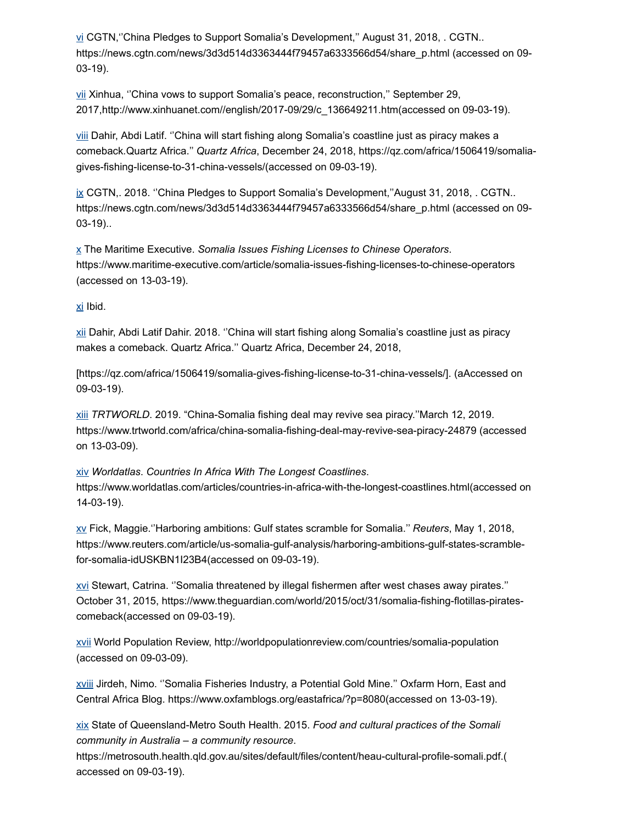[vi](http://life-peace.org/hab/potential-risks-and-rewards-of-sino-somalia-fishing-agreement/#sdendnote6anc) CGTN,''China Pledges to Support Somalia's Development,'' August 31, 2018, . CGTN.. https://news.cgtn.com/news/3d3d514d3363444f79457a6333566d54/share\_p.html (accessed on 09-03-19).

[vii](http://life-peace.org/hab/potential-risks-and-rewards-of-sino-somalia-fishing-agreement/#sdendnote7anc) Xinhua, ''China vows to support Somalia's peace, reconstruction,'' September 29, 2017,http://www.xinhuanet.com//english/2017-09/29/c\_136649211.htm(accessed on 09-03-19).

[viii](http://life-peace.org/hab/potential-risks-and-rewards-of-sino-somalia-fishing-agreement/#sdendnote8anc) Dahir, Abdi Latif. ''China will start fishing along Somalia's coastline just as piracy makes a comeback*.*Quartz Africa.'' *Quartz Africa*, December 24, 2018, https://qz.com/africa/1506419/somaliagives-fishing-license-to-31-china-vessels/(accessed on 09-03-19).

[ix](http://life-peace.org/hab/potential-risks-and-rewards-of-sino-somalia-fishing-agreement/#sdendnote9anc) CGTN,. 2018. ''China Pledges to Support Somalia's Development,''August 31, 2018, . CGTN.. https://news.cgtn.com/news/3d3d514d3363444f79457a6333566d54/share\_p.html (accessed on 09-03-19)..

[x](http://life-peace.org/hab/potential-risks-and-rewards-of-sino-somalia-fishing-agreement/#sdendnote10anc) The Maritime Executive. *Somalia Issues Fishing Licenses to Chinese Operators*. https://www.maritime-executive.com/article/somalia-issues-fishing-licenses-to-chinese-operators (accessed on 13-03-19).

#### [xi](http://life-peace.org/hab/potential-risks-and-rewards-of-sino-somalia-fishing-agreement/#sdendnote11anc) Ibid.

[xii](http://life-peace.org/hab/potential-risks-and-rewards-of-sino-somalia-fishing-agreement/#sdendnote12anc) Dahir, Abdi Latif Dahir. 2018. ''China will start fishing along Somalia's coastline just as piracy makes a comeback. Quartz Africa.'' Quartz Africa, December 24, 2018,

[https://qz.com/africa/1506419/somalia-gives-fishing-license-to-31-china-vessels/]. (aAccessed on 09-03-19).

[xiii](http://life-peace.org/hab/potential-risks-and-rewards-of-sino-somalia-fishing-agreement/#sdendnote13anc) *TRTWORLD*. 2019. "China-Somalia fishing deal may revive sea piracy.''March 12, 2019. https://www.trtworld.com/africa/china-somalia-fishing-deal-may-revive-sea-piracy-24879 (accessed on 13-03-09).

#### [xiv](http://life-peace.org/hab/potential-risks-and-rewards-of-sino-somalia-fishing-agreement/#sdendnote14anc) *Worldatlas*. *Countries In Africa With The Longest Coastlines*.

https://www.worldatlas.com/articles/countries-in-africa-with-the-longest-coastlines.html(accessed on 14-03-19).

[xv](http://life-peace.org/hab/potential-risks-and-rewards-of-sino-somalia-fishing-agreement/#sdendnote15anc) Fick, Maggie.''Harboring ambitions: Gulf states scramble for Somalia.'' *Reuters*, May 1, 2018, https://www.reuters.com/article/us-somalia-gulf-analysis/harboring-ambitions-gulf-states-scramblefor-somalia-idUSKBN1I23B4(accessed on 09-03-19).

[xvi](http://life-peace.org/hab/potential-risks-and-rewards-of-sino-somalia-fishing-agreement/#sdendnote16anc) Stewart, Catrina. ''Somalia threatened by illegal fishermen after west chases away pirates.'' October 31, 2015, https://www.theguardian.com/world/2015/oct/31/somalia-fishing-flotillas-piratescomeback(accessed on 09-03-19).

[xvii](http://life-peace.org/hab/potential-risks-and-rewards-of-sino-somalia-fishing-agreement/#sdendnote17anc) World Population Review, http://worldpopulationreview.com/countries/somalia-population (accessed on 09-03-09).

[xviii](http://life-peace.org/hab/potential-risks-and-rewards-of-sino-somalia-fishing-agreement/#sdendnote18anc) Jirdeh, Nimo. ''Somalia Fisheries Industry, a Potential Gold Mine.'' Oxfarm Horn, East and Central Africa Blog. https://www.oxfamblogs.org/eastafrica/?p=8080(accessed on 13-03-19).

[xix](http://life-peace.org/hab/potential-risks-and-rewards-of-sino-somalia-fishing-agreement/#sdendnote19anc) State of Queensland-Metro South Health. 2015. *Food and cultural practices of the Somali community in Australia – a community resource*.

https://metrosouth.health.qld.gov.au/sites/default/files/content/heau-cultural-profile-somali.pdf.( accessed on 09-03-19).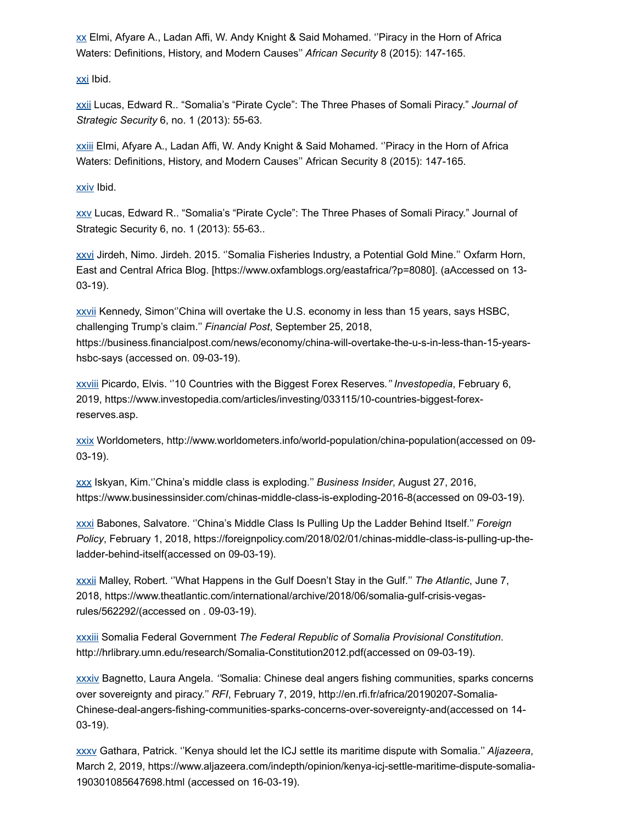$\underline{x}$ x Elmi, Afyare A., Ladan Affi, W. Andy Knight & Said Mohamed. "Piracy in the Horn of Africa Waters: Definitions, History, and Modern Causes'' *African Security* 8 (2015): 147-165.

[xxi](http://life-peace.org/hab/potential-risks-and-rewards-of-sino-somalia-fishing-agreement/#sdendnote21anc) Ibid.

[xxii](http://life-peace.org/hab/potential-risks-and-rewards-of-sino-somalia-fishing-agreement/#sdendnote22anc) Lucas, Edward R.. "Somalia's "Pirate Cycle": The Three Phases of Somali Piracy." *Journal of Strategic Security* 6, no. 1 (2013): 55-63.

[xxiii](http://life-peace.org/hab/potential-risks-and-rewards-of-sino-somalia-fishing-agreement/#sdendnote23anc) Elmi, Afyare A., Ladan Affi, W. Andy Knight & Said Mohamed. ''Piracy in the Horn of Africa Waters: Definitions, History, and Modern Causes'' African Security 8 (2015): 147-165.

[xxiv](http://life-peace.org/hab/potential-risks-and-rewards-of-sino-somalia-fishing-agreement/#sdendnote24anc) Ibid.

[xxv](http://life-peace.org/hab/potential-risks-and-rewards-of-sino-somalia-fishing-agreement/#sdendnote25anc) Lucas, Edward R.. "Somalia's "Pirate Cycle": The Three Phases of Somali Piracy." Journal of Strategic Security 6, no. 1 (2013): 55-63..

[xxvi](http://life-peace.org/hab/potential-risks-and-rewards-of-sino-somalia-fishing-agreement/#sdendnote26anc) Jirdeh, Nimo. Jirdeh. 2015. ''Somalia Fisheries Industry, a Potential Gold Mine.'' Oxfarm Horn, East and Central Africa Blog. [https://www.oxfamblogs.org/eastafrica/?p=8080]. (aAccessed on 13- 03-19).

[xxvii](http://life-peace.org/hab/potential-risks-and-rewards-of-sino-somalia-fishing-agreement/#sdendnote27anc) Kennedy, Simon''China will overtake the U.S. economy in less than 15 years, says HSBC, challenging Trump's claim.'' *Financial Post*, September 25, 2018,

https://business.financialpost.com/news/economy/china-will-overtake-the-u-s-in-less-than-15-yearshsbc-says (accessed on. 09-03-19).

[xxviii](http://life-peace.org/hab/potential-risks-and-rewards-of-sino-somalia-fishing-agreement/#sdendnote28anc) Picardo, Elvis. ''10 Countries with the Biggest Forex Reserves*.'' Investopedia*, February 6, 2019, https://www.investopedia.com/articles/investing/033115/10-countries-biggest-forexreserves.asp.

[xxix](http://life-peace.org/hab/potential-risks-and-rewards-of-sino-somalia-fishing-agreement/#sdendnote29anc) Worldometers, http://www.worldometers.info/world-population/china-population(accessed on 09- 03-19).

[xxx](http://life-peace.org/hab/potential-risks-and-rewards-of-sino-somalia-fishing-agreement/#sdendnote30anc) Iskyan, Kim.''China's middle class is exploding.'' *Business Insider*, August 27, 2016, https://www.businessinsider.com/chinas-middle-class-is-exploding-2016-8(accessed on 09-03-19).

[xxxi](http://life-peace.org/hab/potential-risks-and-rewards-of-sino-somalia-fishing-agreement/#sdendnote31anc) Babones, Salvatore. ''China's Middle Class Is Pulling Up the Ladder Behind Itself.'' *Foreign Policy*, February 1, 2018, https://foreignpolicy.com/2018/02/01/chinas-middle-class-is-pulling-up-theladder-behind-itself(accessed on 09-03-19).

[xxxii](http://life-peace.org/hab/potential-risks-and-rewards-of-sino-somalia-fishing-agreement/#sdendnote32anc) Malley, Robert. ''What Happens in the Gulf Doesn't Stay in the Gulf.'' *The Atlantic*, June 7, 2018, https://www.theatlantic.com/international/archive/2018/06/somalia-gulf-crisis-vegasrules/562292/(accessed on . 09-03-19).

[xxxiii](http://life-peace.org/hab/potential-risks-and-rewards-of-sino-somalia-fishing-agreement/#sdendnote33anc) Somalia Federal Government *The Federal Republic of Somalia Provisional Constitution*. http://hrlibrary.umn.edu/research/Somalia-Constitution2012.pdf(accessed on 09-03-19).

[xxxiv](http://life-peace.org/hab/potential-risks-and-rewards-of-sino-somalia-fishing-agreement/#sdendnote34anc) Bagnetto, Laura Angela. *''*Somalia: Chinese deal angers fishing communities, sparks concerns over sovereignty and piracy.'' *RFI*, February 7, 2019, http://en.rfi.fr/africa/20190207-Somalia-Chinese-deal-angers-fishing-communities-sparks-concerns-over-sovereignty-and(accessed on 14- 03-19).

[xxxv](http://life-peace.org/hab/potential-risks-and-rewards-of-sino-somalia-fishing-agreement/#sdendnote35anc) Gathara, Patrick. ''Kenya should let the ICJ settle its maritime dispute with Somalia.'' *Aljazeera*, March 2, 2019, https://www.aljazeera.com/indepth/opinion/kenya-icj-settle-maritime-dispute-somalia-190301085647698.html (accessed on 16-03-19).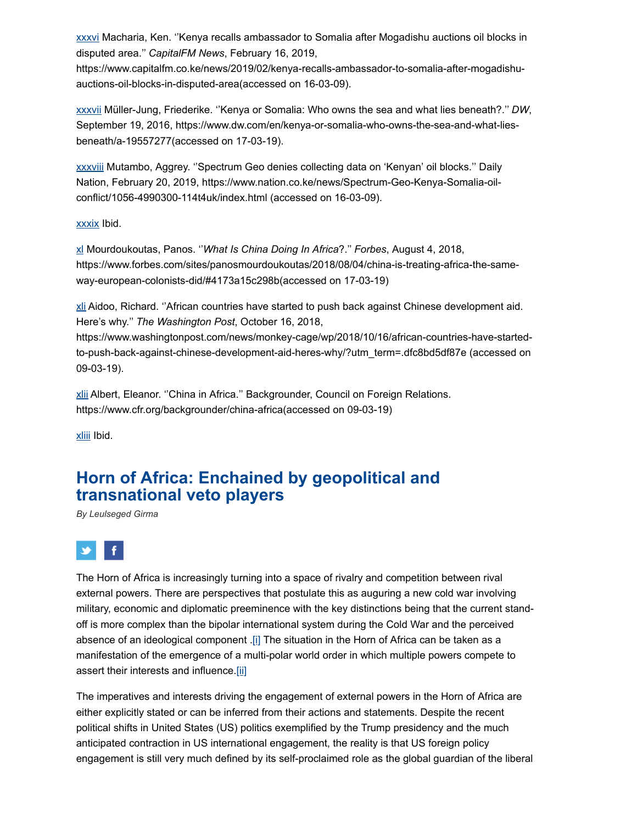[xxxvi](http://life-peace.org/hab/potential-risks-and-rewards-of-sino-somalia-fishing-agreement/#sdendnote36anc) Macharia, Ken. ''Kenya recalls ambassador to Somalia after Mogadishu auctions oil blocks in disputed area.'' *CapitalFM News*, February 16, 2019,

https://www.capitalfm.co.ke/news/2019/02/kenya-recalls-ambassador-to-somalia-after-mogadishuauctions-oil-blocks-in-disputed-area(accessed on 16-03-09).

[xxxvii](http://life-peace.org/hab/potential-risks-and-rewards-of-sino-somalia-fishing-agreement/#sdendnote37anc) Müller-Jung, Friederike. ''Kenya or Somalia: Who owns the sea and what lies beneath?.'' *DW*, September 19, 2016, https://www.dw.com/en/kenya-or-somalia-who-owns-the-sea-and-what-liesbeneath/a-19557277(accessed on 17-03-19).

[xxxviii](http://life-peace.org/hab/potential-risks-and-rewards-of-sino-somalia-fishing-agreement/#sdendnote38anc) Mutambo, Aggrey. ''Spectrum Geo denies collecting data on 'Kenyan' oil blocks.'' Daily Nation, February 20, 2019, https://www.nation.co.ke/news/Spectrum-Geo-Kenya-Somalia-oilconflict/1056-4990300-114t4uk/index.html (accessed on 16-03-09).

[xxxix](http://life-peace.org/hab/potential-risks-and-rewards-of-sino-somalia-fishing-agreement/#sdendnote39anc) Ibid.

[xl](http://life-peace.org/hab/potential-risks-and-rewards-of-sino-somalia-fishing-agreement/#sdendnote40anc) Mourdoukoutas, Panos. ''*What Is China Doing In Africa*?.'' *Forbes*, August 4, 2018, https://www.forbes.com/sites/panosmourdoukoutas/2018/08/04/china-is-treating-africa-the-sameway-european-colonists-did/#4173a15c298b(accessed on 17-03-19)

[xli](http://life-peace.org/hab/potential-risks-and-rewards-of-sino-somalia-fishing-agreement/#sdendnote41anc) Aidoo, Richard. ''African countries have started to push back against Chinese development aid. Here's why.'' *The Washington Post*, October 16, 2018,

https://www.washingtonpost.com/news/monkey-cage/wp/2018/10/16/african-countries-have-startedto-push-back-against-chinese-development-aid-heres-why/?utm\_term=.dfc8bd5df87e (accessed on 09-03-19).

[xlii](http://life-peace.org/hab/potential-risks-and-rewards-of-sino-somalia-fishing-agreement/#sdendnote42anc) Albert, Eleanor. "China in Africa." Backgrounder, Council on Foreign Relations. https://www.cfr.org/backgrounder/china-africa(accessed on 09-03-19)

[xliii](http://life-peace.org/hab/potential-risks-and-rewards-of-sino-somalia-fishing-agreement/#sdendnote43anc) Ibid.

## **Horn of Africa: Enchained by geopolitical and transnational veto players**

*By Leulseged Girma*



The Horn of Africa is increasingly turning into a space of rivalry and competition between rival external powers. There are perspectives that postulate this as auguring a new cold war involving military, economic and diplomatic preeminence with the key distinctions being that the current standoff is more complex than the bipolar international system during the Cold War and the perceived absence of an ideological component .[\[i\]](http://life-peace.org/hab/horn-of-africa-enchained-by-geopolitical-and-transnational-veto-players/#_edn1) The situation in the Horn of Africa can be taken as a manifestation of the emergence of a multi-polar world order in which multiple powers compete to assert their interests and influence[.\[ii\]](http://life-peace.org/hab/horn-of-africa-enchained-by-geopolitical-and-transnational-veto-players/#_edn2)

The imperatives and interests driving the engagement of external powers in the Horn of Africa are either explicitly stated or can be inferred from their actions and statements. Despite the recent political shifts in United States (US) politics exemplified by the Trump presidency and the much anticipated contraction in US international engagement, the reality is that US foreign policy engagement is still very much defined by its self-proclaimed role as the global guardian of the liberal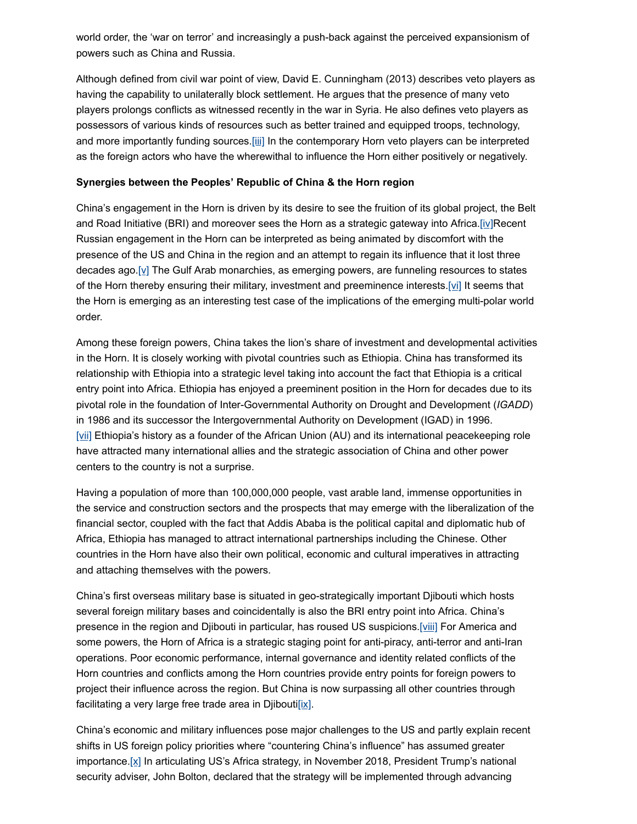world order, the 'war on terror' and increasingly a push-back against the perceived expansionism of powers such as China and Russia.

Although defined from civil war point of view, David E. Cunningham (2013) describes veto players as having the capability to unilaterally block settlement. He argues that the presence of many veto players prolongs conflicts as witnessed recently in the war in Syria. He also defines veto players as possessors of various kinds of resources such as better trained and equipped troops, technology, and more importantly funding sources[.\[iii\]](http://life-peace.org/hab/horn-of-africa-enchained-by-geopolitical-and-transnational-veto-players/#_edn3) In the contemporary Horn veto players can be interpreted as the foreign actors who have the wherewithal to influence the Horn either positively or negatively.

#### **Synergies between the Peoples' Republic of China & the Horn region**

China's engagement in the Horn is driven by its desire to see the fruition of its global project, the Belt and Road Initiative (BRI) and moreover sees the Horn as a strategic gateway into Africa[.\[iv\]](http://life-peace.org/hab/horn-of-africa-enchained-by-geopolitical-and-transnational-veto-players/#_edn4)Recent Russian engagement in the Horn can be interpreted as being animated by discomfort with the presence of the US and China in the region and an attempt to regain its influence that it lost three decades ago.[y] The Gulf Arab monarchies, as emerging powers, are funneling resources to states of the Horn thereby ensuring their military, investment and preeminence interests.[\[vi\]](http://life-peace.org/hab/horn-of-africa-enchained-by-geopolitical-and-transnational-veto-players/#_edn6) It seems that the Horn is emerging as an interesting test case of the implications of the emerging multi-polar world order.

Among these foreign powers, China takes the lion's share of investment and developmental activities in the Horn. It is closely working with pivotal countries such as Ethiopia. China has transformed its relationship with Ethiopia into a strategic level taking into account the fact that Ethiopia is a critical entry point into Africa. Ethiopia has enjoyed a preeminent position in the Horn for decades due to its pivotal role in the foundation of Inter-Governmental Authority on Drought and Development (*IGADD*) in 1986 and its successor the Intergovernmental Authority on Development (IGAD) in 1996.  $[xii]$  Ethiopia's history as a founder of the African Union (AU) and its international peacekeeping role have attracted many international allies and the strategic association of China and other power centers to the country is not a surprise.

Having a population of more than 100,000,000 people, vast arable land, immense opportunities in the service and construction sectors and the prospects that may emerge with the liberalization of the financial sector, coupled with the fact that Addis Ababa is the political capital and diplomatic hub of Africa, Ethiopia has managed to attract international partnerships including the Chinese. Other countries in the Horn have also their own political, economic and cultural imperatives in attracting and attaching themselves with the powers.

China's first overseas military base is situated in geo-strategically important Djibouti which hosts several foreign military bases and coincidentally is also the BRI entry point into Africa. China's presence in the region and Djibouti in particular, has roused US suspicions.[\[viii\]](http://life-peace.org/hab/horn-of-africa-enchained-by-geopolitical-and-transnational-veto-players/#_edn8) For America and some powers, the Horn of Africa is a strategic staging point for anti-piracy, anti-terror and anti-Iran operations. Poor economic performance, internal governance and identity related conflicts of the Horn countries and conflicts among the Horn countries provide entry points for foreign powers to project their influence across the region. But China is now surpassing all other countries through facilitating a very large free trade area in Djibouti $[ix]$ .

China's economic and military influences pose major challenges to the US and partly explain recent shifts in US foreign policy priorities where "countering China's influence" has assumed greater importance[.\[x\]](http://life-peace.org/hab/horn-of-africa-enchained-by-geopolitical-and-transnational-veto-players/#_edn10) In articulating US's Africa strategy, in November 2018, President Trump's national security adviser, John Bolton, declared that the strategy will be implemented through advancing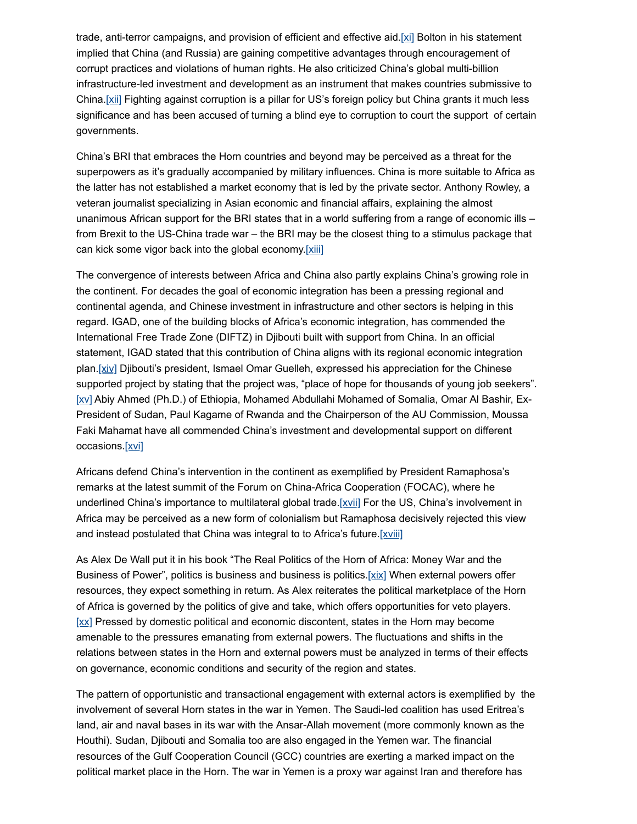trade, anti-terror campaigns, and provision of efficient and effective aid.[\[xi\]](http://life-peace.org/hab/horn-of-africa-enchained-by-geopolitical-and-transnational-veto-players/#_edn11) Bolton in his statement implied that China (and Russia) are gaining competitive advantages through encouragement of corrupt practices and violations of human rights. He also criticized China's global multi-billion infrastructure-led investment and development as an instrument that makes countries submissive to China.[\[xii\]](http://life-peace.org/hab/horn-of-africa-enchained-by-geopolitical-and-transnational-veto-players/#_edn12) Fighting against corruption is a pillar for US's foreign policy but China grants it much less significance and has been accused of turning a blind eye to corruption to court the support of certain governments.

China's BRI that embraces the Horn countries and beyond may be perceived as a threat for the superpowers as it's gradually accompanied by military influences. China is more suitable to Africa as the latter has not established a market economy that is led by the private sector. Anthony Rowley, a veteran journalist specializing in Asian economic and financial affairs, explaining the almost unanimous African support for the BRI states that in a world suffering from a range of economic ills – from Brexit to the US-China trade war – the BRI may be the closest thing to a stimulus package that can kick some vigor back into the global economy[.\[xiii\]](http://life-peace.org/hab/horn-of-africa-enchained-by-geopolitical-and-transnational-veto-players/#_edn13)

The convergence of interests between Africa and China also partly explains China's growing role in the continent. For decades the goal of economic integration has been a pressing regional and continental agenda, and Chinese investment in infrastructure and other sectors is helping in this regard. IGAD, one of the building blocks of Africa's economic integration, has commended the International Free Trade Zone (DIFTZ) in Djibouti built with support from China. In an official statement, IGAD stated that this contribution of China aligns with its regional economic integration plan. [\[xiv\]](http://life-peace.org/hab/horn-of-africa-enchained-by-geopolitical-and-transnational-veto-players/#_edn14) Djibouti's president, Ismael Omar Guelleh, expressed his appreciation for the Chinese supported project by stating that the project was, "place of hope for thousands of young job seekers". [XV] Abiy Ahmed (Ph.D.) of Ethiopia, Mohamed Abdullahi Mohamed of Somalia, Omar Al Bashir, Ex-President of Sudan, Paul Kagame of Rwanda and the Chairperson of the AU Commission, Moussa Faki Mahamat have all commended China's investment and developmental support on different occasions[.\[xvi\]](http://life-peace.org/hab/horn-of-africa-enchained-by-geopolitical-and-transnational-veto-players/#_edn16)

Africans defend China's intervention in the continent as exemplified by President Ramaphosa's remarks at the latest summit of the Forum on China-Africa Cooperation (FOCAC), where he underlined China's importance to multilateral global trade.[\[xvii\]](http://life-peace.org/hab/horn-of-africa-enchained-by-geopolitical-and-transnational-veto-players/#_edn17) For the US, China's involvement in Africa may be perceived as a new form of colonialism but Ramaphosa decisively rejected this view and instead postulated that China was integral to to Africa's future[.\[xviii\]](http://life-peace.org/hab/horn-of-africa-enchained-by-geopolitical-and-transnational-veto-players/#_edn18)

As Alex De Wall put it in his book "The Real Politics of the Horn of Africa: Money War and the Business of Power", politics is business and business is politics. [ $xix$ ] When external powers offer resources, they expect something in return. As Alex reiterates the political marketplace of the Horn of Africa is governed by the politics of give and take, which offers opportunities for veto players. [\[xx\]](http://life-peace.org/hab/horn-of-africa-enchained-by-geopolitical-and-transnational-veto-players/#_edn20) Pressed by domestic political and economic discontent, states in the Horn may become amenable to the pressures emanating from external powers. The fluctuations and shifts in the relations between states in the Horn and external powers must be analyzed in terms of their effects on governance, economic conditions and security of the region and states.

The pattern of opportunistic and transactional engagement with external actors is exemplified by the involvement of several Horn states in the war in Yemen. The Saudi-led coalition has used Eritrea's land, air and naval bases in its war with the Ansar-Allah movement (more commonly known as the Houthi). Sudan, Djibouti and Somalia too are also engaged in the Yemen war. The financial resources of the Gulf Cooperation Council (GCC) countries are exerting a marked impact on the political market place in the Horn. The war in Yemen is a proxy war against Iran and therefore has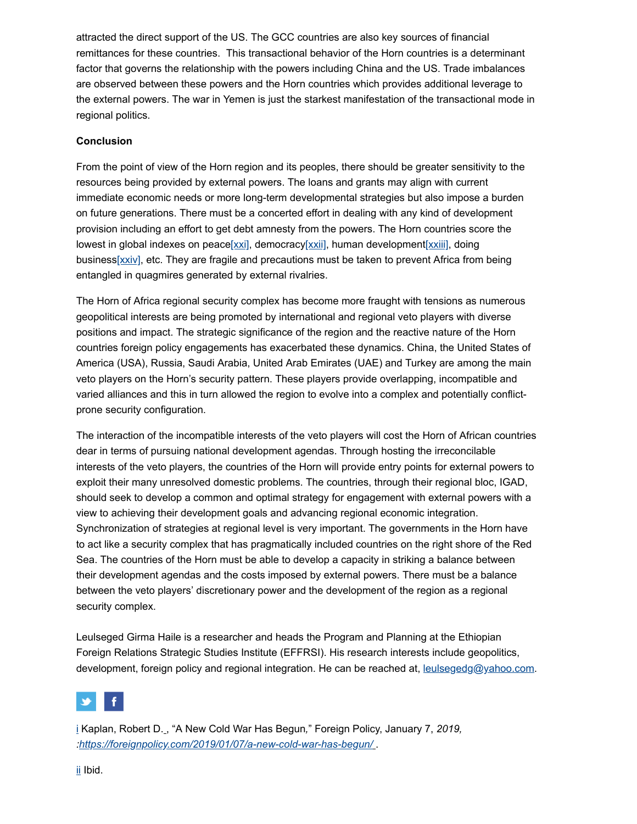attracted the direct support of the US. The GCC countries are also key sources of financial remittances for these countries. This transactional behavior of the Horn countries is a determinant factor that governs the relationship with the powers including China and the US. Trade imbalances are observed between these powers and the Horn countries which provides additional leverage to the external powers. The war in Yemen is just the starkest manifestation of the transactional mode in regional politics.

#### **Conclusion**

From the point of view of the Horn region and its peoples, there should be greater sensitivity to the resources being provided by external powers. The loans and grants may align with current immediate economic needs or more long-term developmental strategies but also impose a burden on future generations. There must be a concerted effort in dealing with any kind of development provision including an effort to get debt amnesty from the powers. The Horn countries score the lowest in global indexes on peace[ $xxi$ ], democracy[ $xxii$ ], human development[ $xxiii$ ], doing busines[s\[xxiv\]](http://life-peace.org/hab/horn-of-africa-enchained-by-geopolitical-and-transnational-veto-players/#_edn24), etc. They are fragile and precautions must be taken to prevent Africa from being entangled in quagmires generated by external rivalries.

The Horn of Africa regional security complex has become more fraught with tensions as numerous geopolitical interests are being promoted by international and regional veto players with diverse positions and impact. The strategic significance of the region and the reactive nature of the Horn countries foreign policy engagements has exacerbated these dynamics. China, the United States of America (USA), Russia, Saudi Arabia, United Arab Emirates (UAE) and Turkey are among the main veto players on the Horn's security pattern. These players provide overlapping, incompatible and varied alliances and this in turn allowed the region to evolve into a complex and potentially conflictprone security configuration.

The interaction of the incompatible interests of the veto players will cost the Horn of African countries dear in terms of pursuing national development agendas. Through hosting the irreconcilable interests of the veto players, the countries of the Horn will provide entry points for external powers to exploit their many unresolved domestic problems. The countries, through their regional bloc, IGAD, should seek to develop a common and optimal strategy for engagement with external powers with a view to achieving their development goals and advancing regional economic integration. Synchronization of strategies at regional level is very important. The governments in the Horn have to act like a security complex that has pragmatically included countries on the right shore of the Red Sea. The countries of the Horn must be able to develop a capacity in striking a balance between their development agendas and the costs imposed by external powers. There must be a balance between the veto players' discretionary power and the development of the region as a regional security complex.

Leulseged Girma Haile is a researcher and heads the Program and Planning at the Ethiopian Foreign Relations Strategic Studies Institute (EFFRSI). His research interests include geopolitics, development, foreign policy and regional integration. He can be reached at, [leulsegedg@yahoo.com.](mailto:leulsegedg@yahoo.com)



[i](http://life-peace.org/hab/horn-of-africa-enchained-by-geopolitical-and-transnational-veto-players/#sdendnote1anc) Kaplan, Robert D. , "A New Cold War Has Begun*,*" Foreign Policy, January 7, *2019, [:https://foreignpolicy.com/2019/01/07/a-new-cold-war-has-begun/](https://foreignpolicy.com/2019/01/07/a-new-cold-war-has-begun/)* .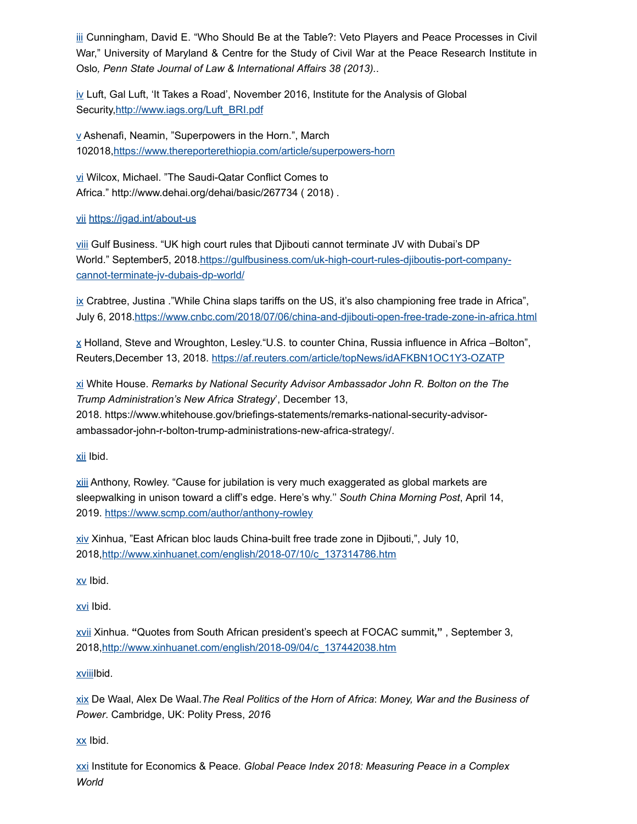[iii](http://life-peace.org/hab/horn-of-africa-enchained-by-geopolitical-and-transnational-veto-players/#sdendnote3anc) Cunningham, David E. "Who Should Be at the Table?: Veto Players and Peace Processes in Civil War," University of Maryland & Centre for the Study of Civil War at the Peace Research Institute in Oslo*, Penn State Journal of Law & International Affairs 38 (2013).*.

 $iv$  Luft, Gal Luft, 'It Takes a Road', November 2016, Institute for the Analysis of Global Security[,http://www.iags.org/Luft\\_BRI.pdf](http://www.iags.org/Luft_BRI.pdf)

 $\underline{v}$  $\underline{v}$  $\underline{v}$  Ashenafi, Neamin, "Superpowers in the Horn.", March 102018[,https://www.thereporterethiopia.com/article/superpowers-horn](https://www.thereporterethiopia.com/article/superpowers-horn)

[vi](http://life-peace.org/hab/horn-of-africa-enchained-by-geopolitical-and-transnational-veto-players/#sdendnote6anc) Wilcox, Michael. "The Saudi-Qatar Conflict Comes to Africa." http://www.dehai.org/dehai/basic/267734 ( 2018) .

#### [vii](http://life-peace.org/hab/horn-of-africa-enchained-by-geopolitical-and-transnational-veto-players/#sdendnote7anc) <https://igad.int/about-us>

[viii](http://life-peace.org/hab/horn-of-africa-enchained-by-geopolitical-and-transnational-veto-players/#sdendnote8anc) Gulf Business. "UK high court rules that Djibouti cannot terminate JV with Dubai's DP [World." September5, 2018.https://gulfbusiness.com/uk-high-court-rules-djiboutis-port-company](https://gulfbusiness.com/uk-high-court-rules-djiboutis-port-company-cannot-terminate-jv-dubais-dp-world/)cannot-terminate-jv-dubais-dp-world/

[ix](http://life-peace.org/hab/horn-of-africa-enchained-by-geopolitical-and-transnational-veto-players/#sdendnote9anc) Crabtree, Justina ."While China slaps tariffs on the US, it's also championing free trade in Africa", July 6, 2018.<https://www.cnbc.com/2018/07/06/china-and-djibouti-open-free-trade-zone-in-africa.html>

 $\underline{x}$  $\underline{x}$  $\underline{x}$  Holland, Steve and Wroughton, Lesley. "U.S. to counter China, Russia influence in Africa –Bolton", Reuters,December 13, 2018. <https://af.reuters.com/article/topNews/idAFKBN1OC1Y3-OZATP>

[xi](http://life-peace.org/hab/horn-of-africa-enchained-by-geopolitical-and-transnational-veto-players/#sdendnote11anc) White House. *Remarks by National Security Advisor Ambassador John R. Bolton on the The Trump Administration's New Africa Strategy*', December 13, 2018. https://www.whitehouse.gov/briefings-statements/remarks-national-security-advisorambassador-john-r-bolton-trump-administrations-new-africa-strategy/.

[xii](http://life-peace.org/hab/horn-of-africa-enchained-by-geopolitical-and-transnational-veto-players/#sdendnote12anc) Ibid.

[xiii](http://life-peace.org/hab/horn-of-africa-enchained-by-geopolitical-and-transnational-veto-players/#sdendnote13anc) Anthony, Rowley. "Cause for jubilation is very much exaggerated as global markets are sleepwalking in unison toward a cliff's edge. Here's why.'' *South China Morning Post*, April 14, 2019. <https://www.scmp.com/author/anthony-rowley>

[xiv](http://life-peace.org/hab/horn-of-africa-enchained-by-geopolitical-and-transnational-veto-players/#sdendnote14anc) Xinhua, "East African bloc lauds China-built free trade zone in Djibouti,", July 10, 2018[,http://www.xinhuanet.com/english/2018-07/10/c\\_137314786.htm](http://www.xinhuanet.com/english/2018-07/10/c_137314786.htm)

[xv](http://life-peace.org/hab/horn-of-africa-enchained-by-geopolitical-and-transnational-veto-players/#sdendnote15anc) Ibid.

[xvi](http://life-peace.org/hab/horn-of-africa-enchained-by-geopolitical-and-transnational-veto-players/#sdendnote16anc) Ibid.

[xvii](http://life-peace.org/hab/horn-of-africa-enchained-by-geopolitical-and-transnational-veto-players/#sdendnote17anc) Xinhua. **"**Quotes from South African president's speech at FOCAC summit**,"** , September 3, 2018[,http://www.xinhuanet.com/english/2018-09/04/c\\_137442038.htm](http://www.xinhuanet.com/english/2018-09/04/c_137442038.htm)

xviiilbid.

[xix](http://life-peace.org/hab/horn-of-africa-enchained-by-geopolitical-and-transnational-veto-players/#sdendnote19anc) De Waal, Alex De Waal.*The Real Politics of the Horn of Africa*: *Money, War and the Business of Power*. Cambridge, UK: Polity Press, *201*6

[xx](http://life-peace.org/hab/horn-of-africa-enchained-by-geopolitical-and-transnational-veto-players/#sdendnote20anc) Ibid.

[xxi](http://life-peace.org/hab/horn-of-africa-enchained-by-geopolitical-and-transnational-veto-players/#sdendnote21anc) Institute for Economics & Peace. *Global Peace Index 2018: Measuring Peace in a Complex World*